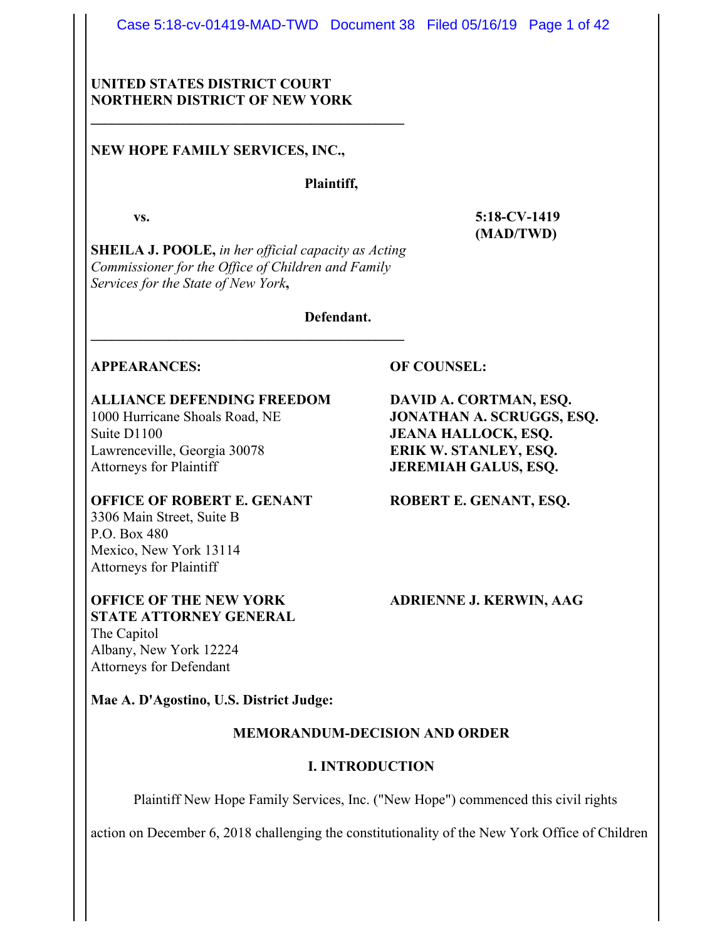Case 5:18-cv-01419-MAD-TWD Document 38 Filed 05/16/19 Page 1 of 42

## **UNITED STATES DISTRICT COURT NORTHERN DISTRICT OF NEW YORK**

**\_\_\_\_\_\_\_\_\_\_\_\_\_\_\_\_\_\_\_\_\_\_\_\_\_\_\_\_\_\_\_\_\_\_\_\_\_\_\_\_\_\_\_\_**

## **NEW HOPE FAMILY SERVICES, INC.,**

## **Plaintiff,**

**SHEILA J. POOLE,** *in her official capacity as Acting Commissioner for the Office of Children and Family Services for the State of New York***,**

**\_\_\_\_\_\_\_\_\_\_\_\_\_\_\_\_\_\_\_\_\_\_\_\_\_\_\_\_\_\_\_\_\_\_\_\_\_\_\_\_\_\_\_\_**

**Defendant.**

## **APPEARANCES: OF COUNSEL:**

# **ALLIANCE DEFENDING FREEDOM DAVID A. CORTMAN, ESQ.**

Suite D1100 **JEANA HALLOCK, ESO.** Lawrenceville, Georgia 30078 **ERIK W. STANLEY, ESQ.** Attorneys for Plaintiff **JEREMIAH GALUS, ESQ.**

#### **OFFICE OF ROBERT E. GENANT ROBERT E. GENANT, ESQ.** 3306 Main Street, Suite B

P.O. Box 480 Mexico, New York 13114 Attorneys for Plaintiff

## **OFFICE OF THE NEW YORK ADRIENNE J. KERWIN, AAG STATE ATTORNEY GENERAL**

The Capitol Albany, New York 12224 Attorneys for Defendant

**Mae A. D'Agostino, U.S. District Judge:**

## **MEMORANDUM-DECISION AND ORDER**

## **I. INTRODUCTION**

Plaintiff New Hope Family Services, Inc. ("New Hope") commenced this civil rights

action on December 6, 2018 challenging the constitutionality of the New York Office of Children

1000 Hurricane Shoals Road, NE **JONATHAN A. SCRUGGS, ESQ.**

**vs. 5:18-CV-1419 (MAD/TWD)**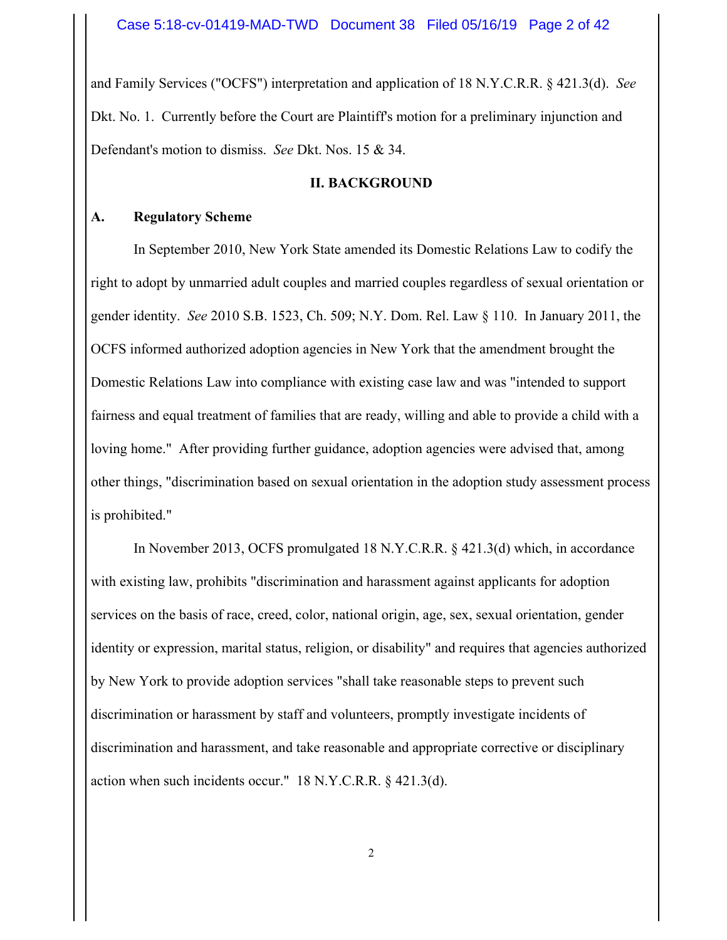and Family Services ("OCFS") interpretation and application of 18 N.Y.C.R.R. § 421.3(d). *See* Dkt. No. 1. Currently before the Court are Plaintiff's motion for a preliminary injunction and Defendant's motion to dismiss. *See* Dkt. Nos. 15 & 34.

## **II. BACKGROUND**

## **A. Regulatory Scheme**

In September 2010, New York State amended its Domestic Relations Law to codify the right to adopt by unmarried adult couples and married couples regardless of sexual orientation or gender identity. *See* 2010 S.B. 1523, Ch. 509; N.Y. Dom. Rel. Law § 110. In January 2011, the OCFS informed authorized adoption agencies in New York that the amendment brought the Domestic Relations Law into compliance with existing case law and was "intended to support fairness and equal treatment of families that are ready, willing and able to provide a child with a loving home." After providing further guidance, adoption agencies were advised that, among other things, "discrimination based on sexual orientation in the adoption study assessment process is prohibited."

In November 2013, OCFS promulgated 18 N.Y.C.R.R. § 421.3(d) which, in accordance with existing law, prohibits "discrimination and harassment against applicants for adoption services on the basis of race, creed, color, national origin, age, sex, sexual orientation, gender identity or expression, marital status, religion, or disability" and requires that agencies authorized by New York to provide adoption services "shall take reasonable steps to prevent such discrimination or harassment by staff and volunteers, promptly investigate incidents of discrimination and harassment, and take reasonable and appropriate corrective or disciplinary action when such incidents occur." 18 N.Y.C.R.R. § 421.3(d).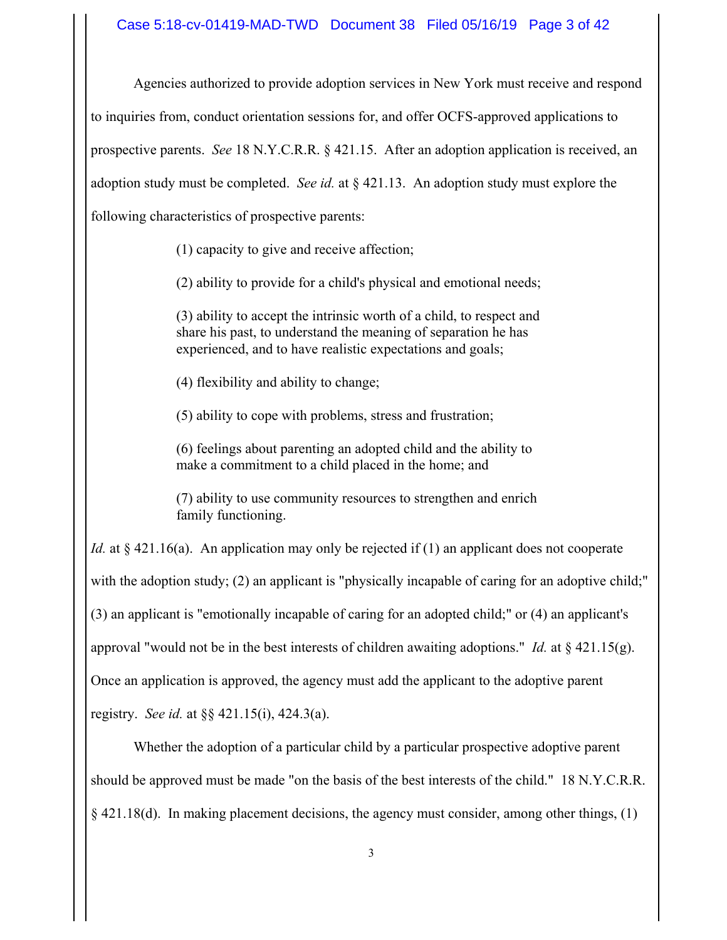Agencies authorized to provide adoption services in New York must receive and respond to inquiries from, conduct orientation sessions for, and offer OCFS-approved applications to prospective parents. *See* 18 N.Y.C.R.R. § 421.15. After an adoption application is received, an adoption study must be completed. *See id.* at § 421.13. An adoption study must explore the following characteristics of prospective parents:

(1) capacity to give and receive affection;

(2) ability to provide for a child's physical and emotional needs;

(3) ability to accept the intrinsic worth of a child, to respect and share his past, to understand the meaning of separation he has experienced, and to have realistic expectations and goals;

(4) flexibility and ability to change;

(5) ability to cope with problems, stress and frustration;

(6) feelings about parenting an adopted child and the ability to make a commitment to a child placed in the home; and

(7) ability to use community resources to strengthen and enrich family functioning.

*Id.* at § 421.16(a). An application may only be rejected if (1) an applicant does not cooperate with the adoption study; (2) an applicant is "physically incapable of caring for an adoptive child;" (3) an applicant is "emotionally incapable of caring for an adopted child;" or (4) an applicant's approval "would not be in the best interests of children awaiting adoptions." *Id.* at  $\S$  421.15(g). Once an application is approved, the agency must add the applicant to the adoptive parent registry. *See id.* at §§ 421.15(i), 424.3(a).

Whether the adoption of a particular child by a particular prospective adoptive parent should be approved must be made "on the basis of the best interests of the child." 18 N.Y.C.R.R.  $\{421.18(d)$ . In making placement decisions, the agency must consider, among other things, (1)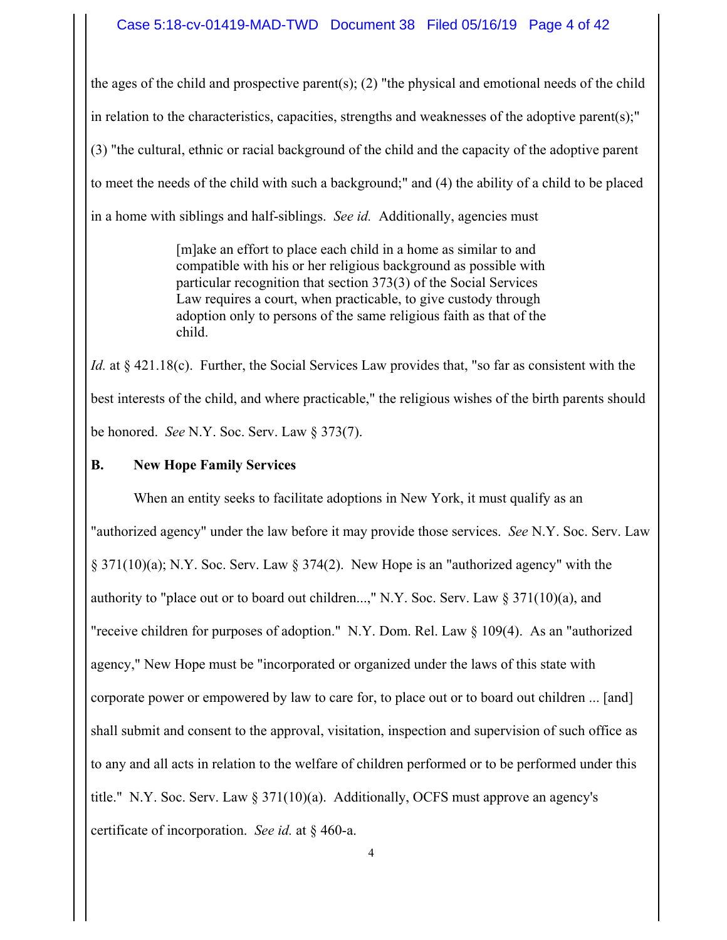the ages of the child and prospective parent(s); (2) "the physical and emotional needs of the child in relation to the characteristics, capacities, strengths and weaknesses of the adoptive parent(s);" (3) "the cultural, ethnic or racial background of the child and the capacity of the adoptive parent to meet the needs of the child with such a background;" and (4) the ability of a child to be placed in a home with siblings and half-siblings. *See id.* Additionally, agencies must

> [m]ake an effort to place each child in a home as similar to and compatible with his or her religious background as possible with particular recognition that section 373(3) of the Social Services Law requires a court, when practicable, to give custody through adoption only to persons of the same religious faith as that of the child.

*Id.* at § 421.18(c). Further, the Social Services Law provides that, "so far as consistent with the best interests of the child, and where practicable," the religious wishes of the birth parents should be honored. *See* N.Y. Soc. Serv. Law § 373(7).

**B. New Hope Family Services**

When an entity seeks to facilitate adoptions in New York, it must qualify as an "authorized agency" under the law before it may provide those services. *See* N.Y. Soc. Serv. Law § 371(10)(a); N.Y. Soc. Serv. Law § 374(2). New Hope is an "authorized agency" with the authority to "place out or to board out children...," N.Y. Soc. Serv. Law  $\S 371(10)(a)$ , and "receive children for purposes of adoption." N.Y. Dom. Rel. Law § 109(4). As an "authorized agency," New Hope must be "incorporated or organized under the laws of this state with corporate power or empowered by law to care for, to place out or to board out children ... [and] shall submit and consent to the approval, visitation, inspection and supervision of such office as to any and all acts in relation to the welfare of children performed or to be performed under this title." N.Y. Soc. Serv. Law  $\S 371(10)(a)$ . Additionally, OCFS must approve an agency's certificate of incorporation. *See id.* at § 460-a.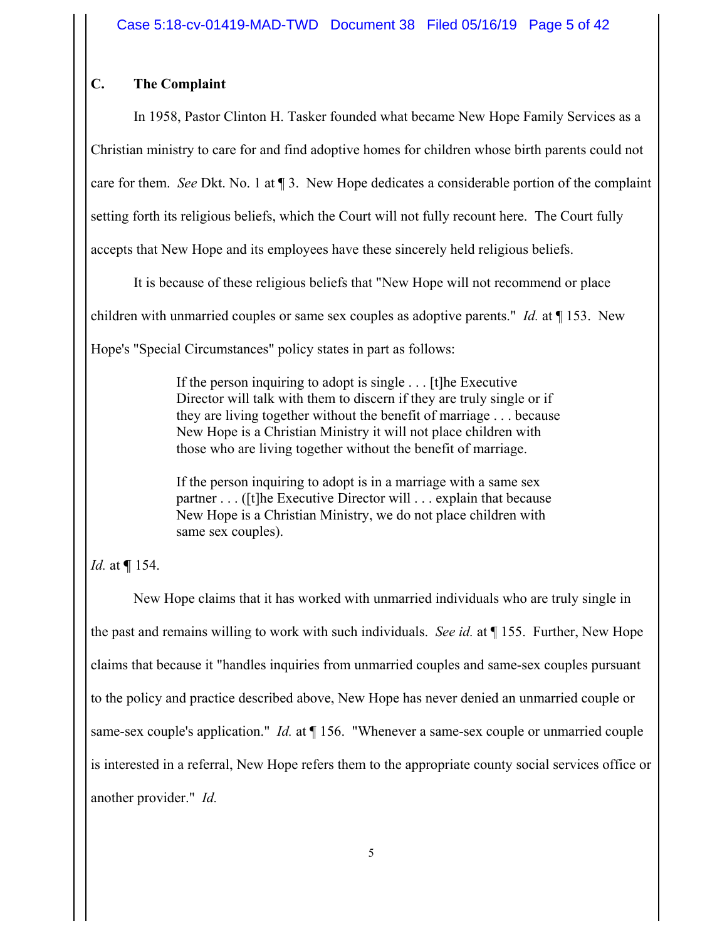# **C. The Complaint**

In 1958, Pastor Clinton H. Tasker founded what became New Hope Family Services as a Christian ministry to care for and find adoptive homes for children whose birth parents could not care for them. *See* Dkt. No. 1 at ¶ 3. New Hope dedicates a considerable portion of the complaint setting forth its religious beliefs, which the Court will not fully recount here. The Court fully accepts that New Hope and its employees have these sincerely held religious beliefs.

It is because of these religious beliefs that "New Hope will not recommend or place

children with unmarried couples or same sex couples as adoptive parents." *Id.* at ¶ 153. New

Hope's "Special Circumstances" policy states in part as follows:

If the person inquiring to adopt is single . . . [t]he Executive Director will talk with them to discern if they are truly single or if they are living together without the benefit of marriage . . . because New Hope is a Christian Ministry it will not place children with those who are living together without the benefit of marriage.

If the person inquiring to adopt is in a marriage with a same sex partner . . . ([t]he Executive Director will . . . explain that because New Hope is a Christian Ministry, we do not place children with same sex couples).

# *Id.* at **¶** 154.

New Hope claims that it has worked with unmarried individuals who are truly single in the past and remains willing to work with such individuals. *See id.* at ¶ 155. Further, New Hope claims that because it "handles inquiries from unmarried couples and same-sex couples pursuant to the policy and practice described above, New Hope has never denied an unmarried couple or same-sex couple's application." *Id.* at ¶ 156. "Whenever a same-sex couple or unmarried couple is interested in a referral, New Hope refers them to the appropriate county social services office or another provider." *Id.*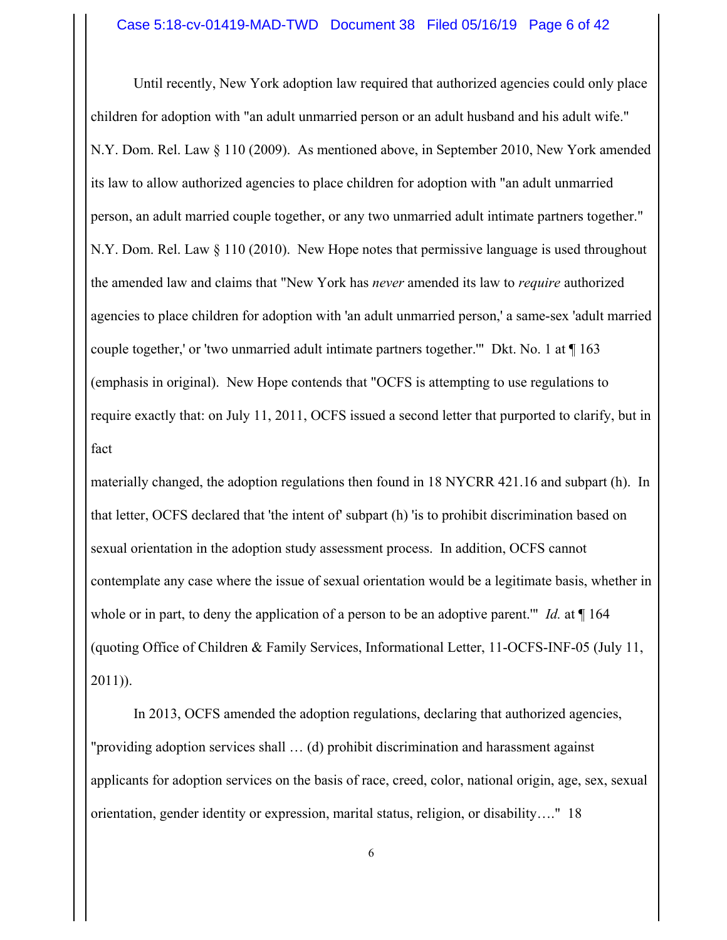Until recently, New York adoption law required that authorized agencies could only place children for adoption with "an adult unmarried person or an adult husband and his adult wife." N.Y. Dom. Rel. Law § 110 (2009). As mentioned above, in September 2010, New York amended its law to allow authorized agencies to place children for adoption with "an adult unmarried person, an adult married couple together, or any two unmarried adult intimate partners together." N.Y. Dom. Rel. Law § 110 (2010). New Hope notes that permissive language is used throughout the amended law and claims that "New York has *never* amended its law to *require* authorized agencies to place children for adoption with 'an adult unmarried person,' a same-sex 'adult married couple together,' or 'two unmarried adult intimate partners together.'" Dkt. No. 1 at ¶ 163 (emphasis in original). New Hope contends that "OCFS is attempting to use regulations to require exactly that: on July 11, 2011, OCFS issued a second letter that purported to clarify, but in fact

materially changed, the adoption regulations then found in 18 NYCRR 421.16 and subpart (h). In that letter, OCFS declared that 'the intent of' subpart (h) 'is to prohibit discrimination based on sexual orientation in the adoption study assessment process. In addition, OCFS cannot contemplate any case where the issue of sexual orientation would be a legitimate basis, whether in whole or in part, to deny the application of a person to be an adoptive parent." *Id.* at  $\P$  164 (quoting Office of Children & Family Services, Informational Letter, 11-OCFS-INF-05 (July 11, 2011)).

In 2013, OCFS amended the adoption regulations, declaring that authorized agencies, "providing adoption services shall … (d) prohibit discrimination and harassment against applicants for adoption services on the basis of race, creed, color, national origin, age, sex, sexual orientation, gender identity or expression, marital status, religion, or disability…." 18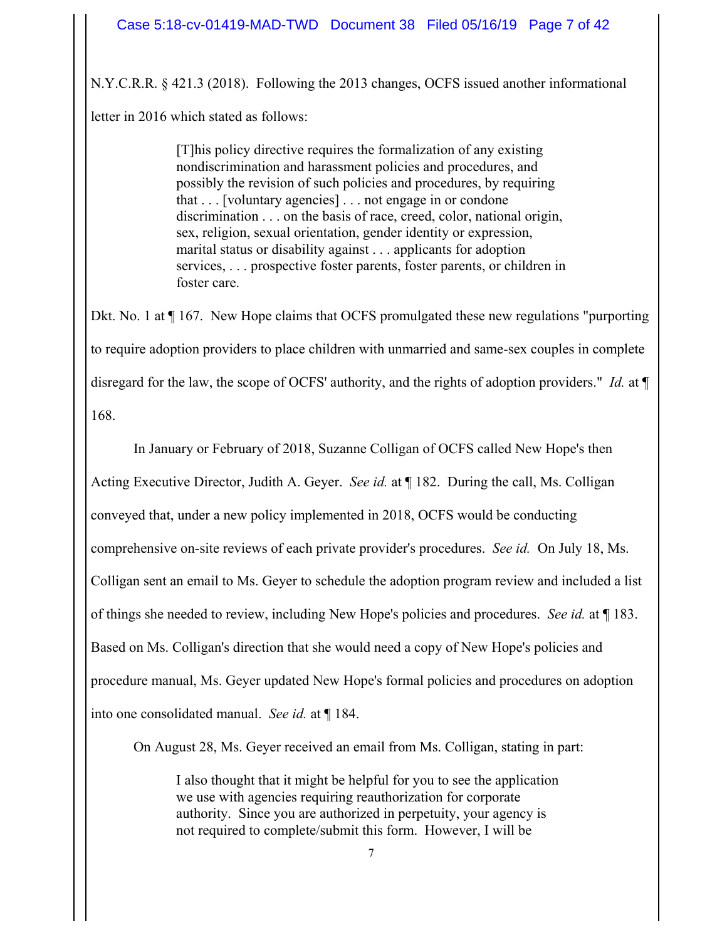N.Y.C.R.R. § 421.3 (2018). Following the 2013 changes, OCFS issued another informational letter in 2016 which stated as follows:

> [T]his policy directive requires the formalization of any existing nondiscrimination and harassment policies and procedures, and possibly the revision of such policies and procedures, by requiring that . . . [voluntary agencies] . . . not engage in or condone discrimination . . . on the basis of race, creed, color, national origin, sex, religion, sexual orientation, gender identity or expression, marital status or disability against . . . applicants for adoption services, . . . prospective foster parents, foster parents, or children in foster care.

Dkt. No. 1 at ¶ 167. New Hope claims that OCFS promulgated these new regulations "purporting to require adoption providers to place children with unmarried and same-sex couples in complete disregard for the law, the scope of OCFS' authority, and the rights of adoption providers." *Id.* at ¶ 168.

In January or February of 2018, Suzanne Colligan of OCFS called New Hope's then Acting Executive Director, Judith A. Geyer. *See id.* at ¶ 182. During the call, Ms. Colligan conveyed that, under a new policy implemented in 2018, OCFS would be conducting comprehensive on-site reviews of each private provider's procedures. *See id.* On July 18, Ms. Colligan sent an email to Ms. Geyer to schedule the adoption program review and included a list of things she needed to review, including New Hope's policies and procedures. *See id.* at ¶ 183. Based on Ms. Colligan's direction that she would need a copy of New Hope's policies and procedure manual, Ms. Geyer updated New Hope's formal policies and procedures on adoption into one consolidated manual. *See id.* at ¶ 184.

On August 28, Ms. Geyer received an email from Ms. Colligan, stating in part:

I also thought that it might be helpful for you to see the application we use with agencies requiring reauthorization for corporate authority. Since you are authorized in perpetuity, your agency is not required to complete/submit this form. However, I will be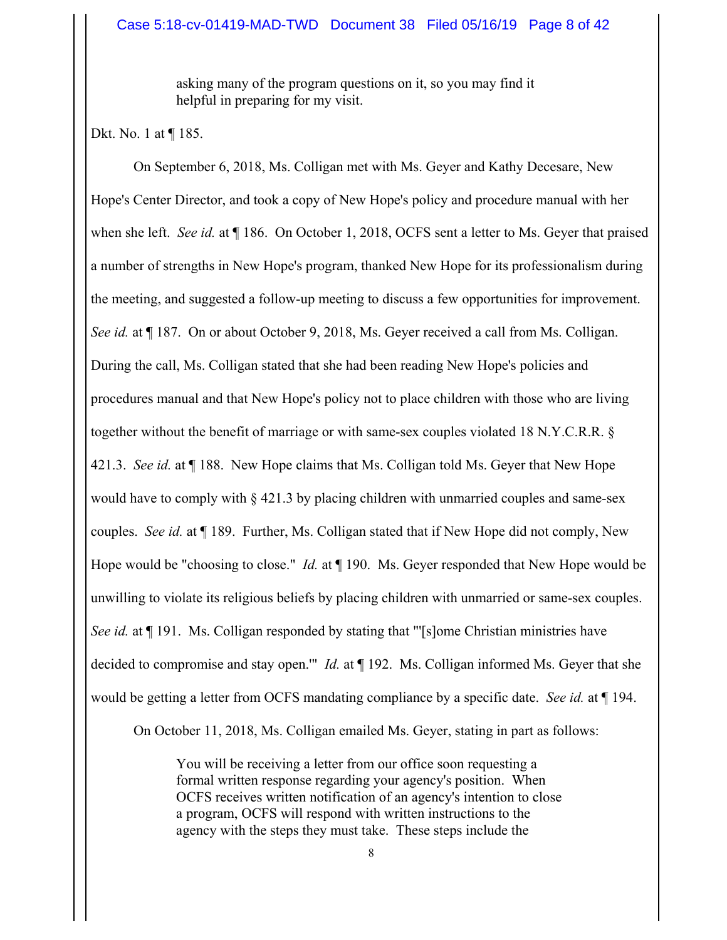asking many of the program questions on it, so you may find it helpful in preparing for my visit.

Dkt. No. 1 at ¶ 185.

On September 6, 2018, Ms. Colligan met with Ms. Geyer and Kathy Decesare, New Hope's Center Director, and took a copy of New Hope's policy and procedure manual with her when she left. *See id.* at ¶ 186. On October 1, 2018, OCFS sent a letter to Ms. Geyer that praised a number of strengths in New Hope's program, thanked New Hope for its professionalism during the meeting, and suggested a follow-up meeting to discuss a few opportunities for improvement. *See id.* at ¶ 187. On or about October 9, 2018, Ms. Geyer received a call from Ms. Colligan. During the call, Ms. Colligan stated that she had been reading New Hope's policies and procedures manual and that New Hope's policy not to place children with those who are living together without the benefit of marriage or with same-sex couples violated 18 N.Y.C.R.R. § 421.3. *See id.* at ¶ 188. New Hope claims that Ms. Colligan told Ms. Geyer that New Hope would have to comply with  $\S 421.3$  by placing children with unmarried couples and same-sex couples. *See id.* at ¶ 189. Further, Ms. Colligan stated that if New Hope did not comply, New Hope would be "choosing to close." *Id.* at ¶ 190. Ms. Geyer responded that New Hope would be unwilling to violate its religious beliefs by placing children with unmarried or same-sex couples. *See id.* at  $\P$  191. Ms. Colligan responded by stating that "'[s]ome Christian ministries have decided to compromise and stay open.'" *Id.* at ¶ 192. Ms. Colligan informed Ms. Geyer that she would be getting a letter from OCFS mandating compliance by a specific date. *See id.* at ¶ 194. On October 11, 2018, Ms. Colligan emailed Ms. Geyer, stating in part as follows:

> You will be receiving a letter from our office soon requesting a formal written response regarding your agency's position. When OCFS receives written notification of an agency's intention to close a program, OCFS will respond with written instructions to the agency with the steps they must take. These steps include the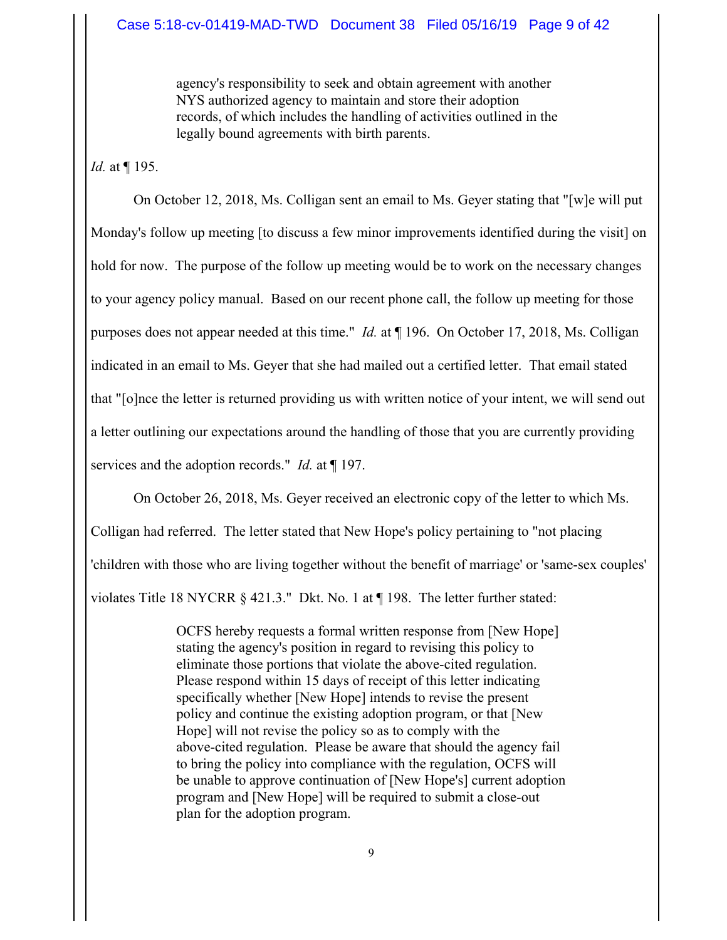agency's responsibility to seek and obtain agreement with another NYS authorized agency to maintain and store their adoption records, of which includes the handling of activities outlined in the legally bound agreements with birth parents.

## *Id.* at ¶ 195.

On October 12, 2018, Ms. Colligan sent an email to Ms. Geyer stating that "[w]e will put Monday's follow up meeting [to discuss a few minor improvements identified during the visit] on hold for now. The purpose of the follow up meeting would be to work on the necessary changes to your agency policy manual. Based on our recent phone call, the follow up meeting for those purposes does not appear needed at this time." *Id.* at ¶ 196. On October 17, 2018, Ms. Colligan indicated in an email to Ms. Geyer that she had mailed out a certified letter. That email stated that "[o]nce the letter is returned providing us with written notice of your intent, we will send out a letter outlining our expectations around the handling of those that you are currently providing services and the adoption records." *Id.* at ¶ 197.

On October 26, 2018, Ms. Geyer received an electronic copy of the letter to which Ms. Colligan had referred. The letter stated that New Hope's policy pertaining to "not placing 'children with those who are living together without the benefit of marriage' or 'same-sex couples' violates Title 18 NYCRR § 421.3." Dkt. No. 1 at ¶ 198. The letter further stated:

> OCFS hereby requests a formal written response from [New Hope] stating the agency's position in regard to revising this policy to eliminate those portions that violate the above-cited regulation. Please respond within 15 days of receipt of this letter indicating specifically whether [New Hope] intends to revise the present policy and continue the existing adoption program, or that [New Hope] will not revise the policy so as to comply with the above-cited regulation. Please be aware that should the agency fail to bring the policy into compliance with the regulation, OCFS will be unable to approve continuation of [New Hope's] current adoption program and [New Hope] will be required to submit a close-out plan for the adoption program.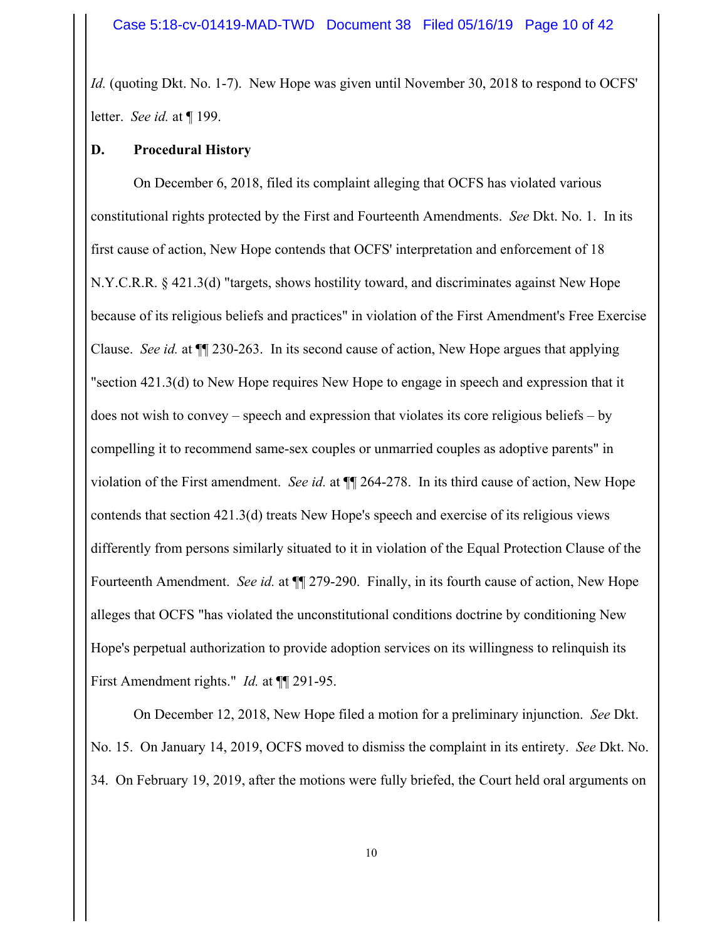*Id.* (quoting Dkt. No. 1-7). New Hope was given until November 30, 2018 to respond to OCFS' letter. *See id.* at ¶ 199.

## **D. Procedural History**

On December 6, 2018, filed its complaint alleging that OCFS has violated various constitutional rights protected by the First and Fourteenth Amendments. *See* Dkt. No. 1. In its first cause of action, New Hope contends that OCFS' interpretation and enforcement of 18 N.Y.C.R.R. § 421.3(d) "targets, shows hostility toward, and discriminates against New Hope because of its religious beliefs and practices" in violation of the First Amendment's Free Exercise Clause. *See id.* at ¶¶ 230-263. In its second cause of action, New Hope argues that applying "section 421.3(d) to New Hope requires New Hope to engage in speech and expression that it does not wish to convey – speech and expression that violates its core religious beliefs – by compelling it to recommend same-sex couples or unmarried couples as adoptive parents" in violation of the First amendment. *See id.* at ¶¶ 264-278. In its third cause of action, New Hope contends that section 421.3(d) treats New Hope's speech and exercise of its religious views differently from persons similarly situated to it in violation of the Equal Protection Clause of the Fourteenth Amendment. *See id.* at ¶¶ 279-290. Finally, in its fourth cause of action, New Hope alleges that OCFS "has violated the unconstitutional conditions doctrine by conditioning New Hope's perpetual authorization to provide adoption services on its willingness to relinquish its First Amendment rights." *Id.* at  $\P$  291-95.

On December 12, 2018, New Hope filed a motion for a preliminary injunction. *See* Dkt. No. 15. On January 14, 2019, OCFS moved to dismiss the complaint in its entirety. *See* Dkt. No. 34. On February 19, 2019, after the motions were fully briefed, the Court held oral arguments on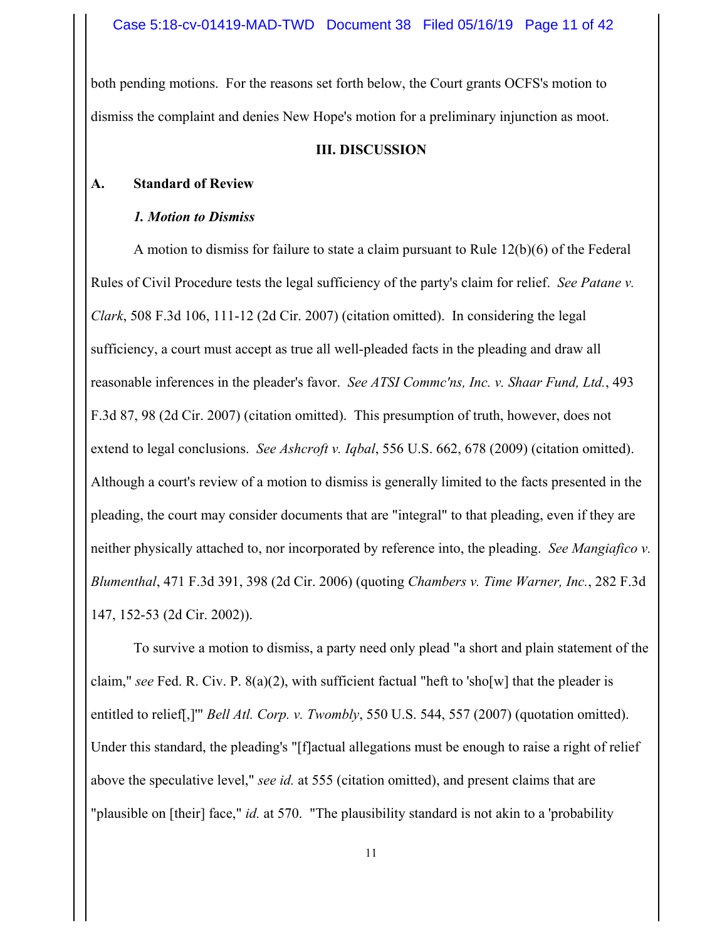both pending motions. For the reasons set forth below, the Court grants OCFS's motion to dismiss the complaint and denies New Hope's motion for a preliminary injunction as moot.

## **III. DISCUSSION**

## **A. Standard of Review**

## *1. Motion to Dismiss*

A motion to dismiss for failure to state a claim pursuant to Rule 12(b)(6) of the Federal Rules of Civil Procedure tests the legal sufficiency of the party's claim for relief. *See Patane v. Clark*, 508 F.3d 106, 111-12 (2d Cir. 2007) (citation omitted). In considering the legal sufficiency, a court must accept as true all well-pleaded facts in the pleading and draw all reasonable inferences in the pleader's favor. *See ATSI Commc'ns, Inc. v. Shaar Fund, Ltd.*, 493 F.3d 87, 98 (2d Cir. 2007) (citation omitted). This presumption of truth, however, does not extend to legal conclusions. *See Ashcroft v. Iqbal*, 556 U.S. 662, 678 (2009) (citation omitted). Although a court's review of a motion to dismiss is generally limited to the facts presented in the pleading, the court may consider documents that are "integral" to that pleading, even if they are neither physically attached to, nor incorporated by reference into, the pleading. *See Mangiafico v. Blumenthal*, 471 F.3d 391, 398 (2d Cir. 2006) (quoting *Chambers v. Time Warner, Inc.*, 282 F.3d 147, 152-53 (2d Cir. 2002)).

To survive a motion to dismiss, a party need only plead "a short and plain statement of the claim," *see* Fed. R. Civ. P. 8(a)(2), with sufficient factual "heft to 'sho[w] that the pleader is entitled to relief[,]'" *Bell Atl. Corp. v. Twombly*, 550 U.S. 544, 557 (2007) (quotation omitted). Under this standard, the pleading's "[f]actual allegations must be enough to raise a right of relief above the speculative level," *see id.* at 555 (citation omitted), and present claims that are "plausible on [their] face," *id.* at 570. "The plausibility standard is not akin to a 'probability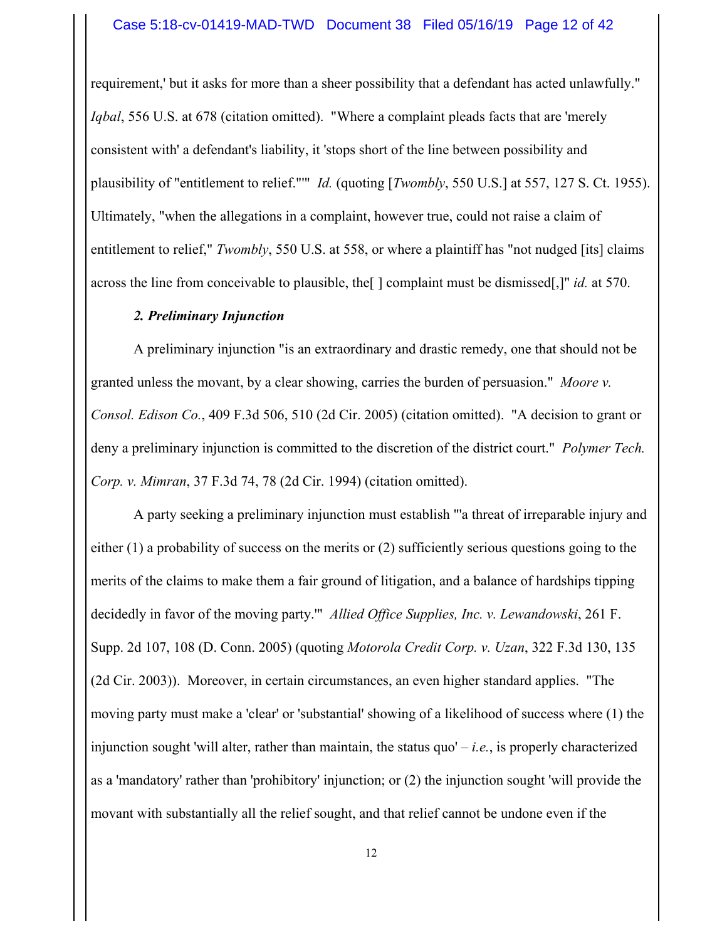requirement,' but it asks for more than a sheer possibility that a defendant has acted unlawfully." *Iqbal*, 556 U.S. at 678 (citation omitted). "Where a complaint pleads facts that are 'merely consistent with' a defendant's liability, it 'stops short of the line between possibility and plausibility of "entitlement to relief."'" *Id.* (quoting [*Twombly*, 550 U.S.] at 557, 127 S. Ct. 1955). Ultimately, "when the allegations in a complaint, however true, could not raise a claim of entitlement to relief," *Twombly*, 550 U.S. at 558, or where a plaintiff has "not nudged [its] claims across the line from conceivable to plausible, the[ ] complaint must be dismissed[,]" *id.* at 570.

## *2. Preliminary Injunction*

A preliminary injunction "is an extraordinary and drastic remedy, one that should not be granted unless the movant, by a clear showing, carries the burden of persuasion." *Moore v. Consol. Edison Co.*, 409 F.3d 506, 510 (2d Cir. 2005) (citation omitted). "A decision to grant or deny a preliminary injunction is committed to the discretion of the district court." *Polymer Tech. Corp. v. Mimran*, 37 F.3d 74, 78 (2d Cir. 1994) (citation omitted).

A party seeking a preliminary injunction must establish "'a threat of irreparable injury and either (1) a probability of success on the merits or (2) sufficiently serious questions going to the merits of the claims to make them a fair ground of litigation, and a balance of hardships tipping decidedly in favor of the moving party.'" *Allied Office Supplies, Inc. v. Lewandowski*, 261 F. Supp. 2d 107, 108 (D. Conn. 2005) (quoting *Motorola Credit Corp. v. Uzan*, 322 F.3d 130, 135 (2d Cir. 2003)). Moreover, in certain circumstances, an even higher standard applies. "The moving party must make a 'clear' or 'substantial' showing of a likelihood of success where (1) the injunction sought 'will alter, rather than maintain, the status quo' – *i.e.*, is properly characterized as a 'mandatory' rather than 'prohibitory' injunction; or (2) the injunction sought 'will provide the movant with substantially all the relief sought, and that relief cannot be undone even if the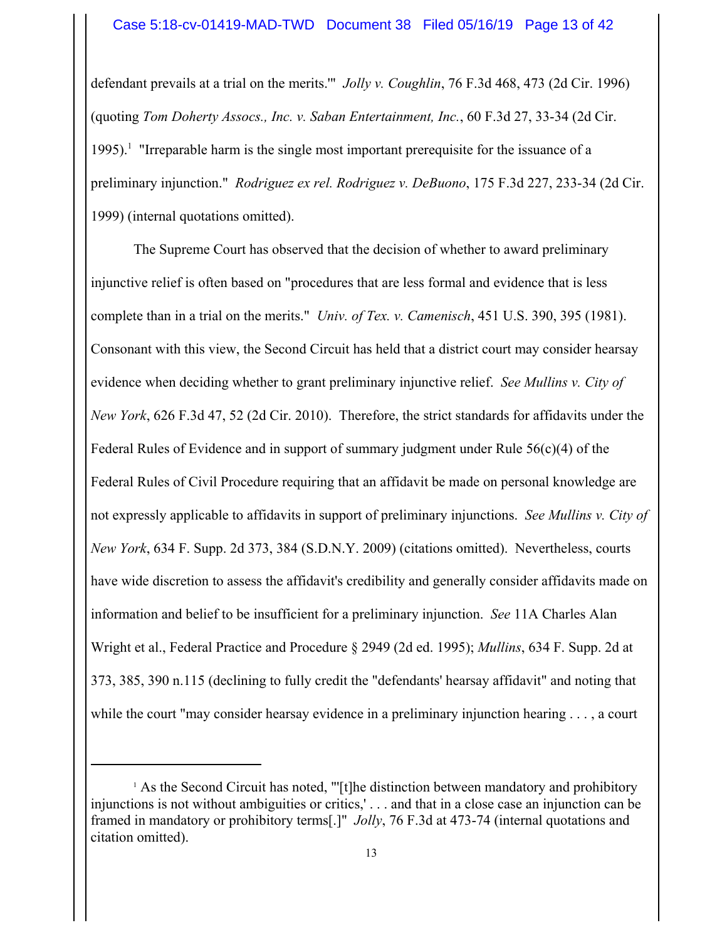defendant prevails at a trial on the merits.'" *Jolly v. Coughlin*, 76 F.3d 468, 473 (2d Cir. 1996) (quoting *Tom Doherty Assocs., Inc. v. Saban Entertainment, Inc.*, 60 F.3d 27, 33-34 (2d Cir.  $1995$ ).<sup>1</sup> "Irreparable harm is the single most important prerequisite for the issuance of a preliminary injunction." *Rodriguez ex rel. Rodriguez v. DeBuono*, 175 F.3d 227, 233-34 (2d Cir. 1999) (internal quotations omitted).

The Supreme Court has observed that the decision of whether to award preliminary injunctive relief is often based on "procedures that are less formal and evidence that is less complete than in a trial on the merits." *Univ. of Tex. v. Camenisch*, 451 U.S. 390, 395 (1981). Consonant with this view, the Second Circuit has held that a district court may consider hearsay evidence when deciding whether to grant preliminary injunctive relief. *See Mullins v. City of New York*, 626 F.3d 47, 52 (2d Cir. 2010). Therefore, the strict standards for affidavits under the Federal Rules of Evidence and in support of summary judgment under Rule 56(c)(4) of the Federal Rules of Civil Procedure requiring that an affidavit be made on personal knowledge are not expressly applicable to affidavits in support of preliminary injunctions. *See Mullins v. City of New York*, 634 F. Supp. 2d 373, 384 (S.D.N.Y. 2009) (citations omitted). Nevertheless, courts have wide discretion to assess the affidavit's credibility and generally consider affidavits made on information and belief to be insufficient for a preliminary injunction. *See* 11A Charles Alan Wright et al., Federal Practice and Procedure § 2949 (2d ed. 1995); *Mullins*, 634 F. Supp. 2d at 373, 385, 390 n.115 (declining to fully credit the "defendants' hearsay affidavit" and noting that while the court "may consider hearsay evidence in a preliminary injunction hearing . . . . a court

<sup>&</sup>lt;sup>1</sup> As the Second Circuit has noted, "'[t]he distinction between mandatory and prohibitory injunctions is not without ambiguities or critics,' . . . and that in a close case an injunction can be framed in mandatory or prohibitory terms[.]" *Jolly*, 76 F.3d at 473-74 (internal quotations and citation omitted).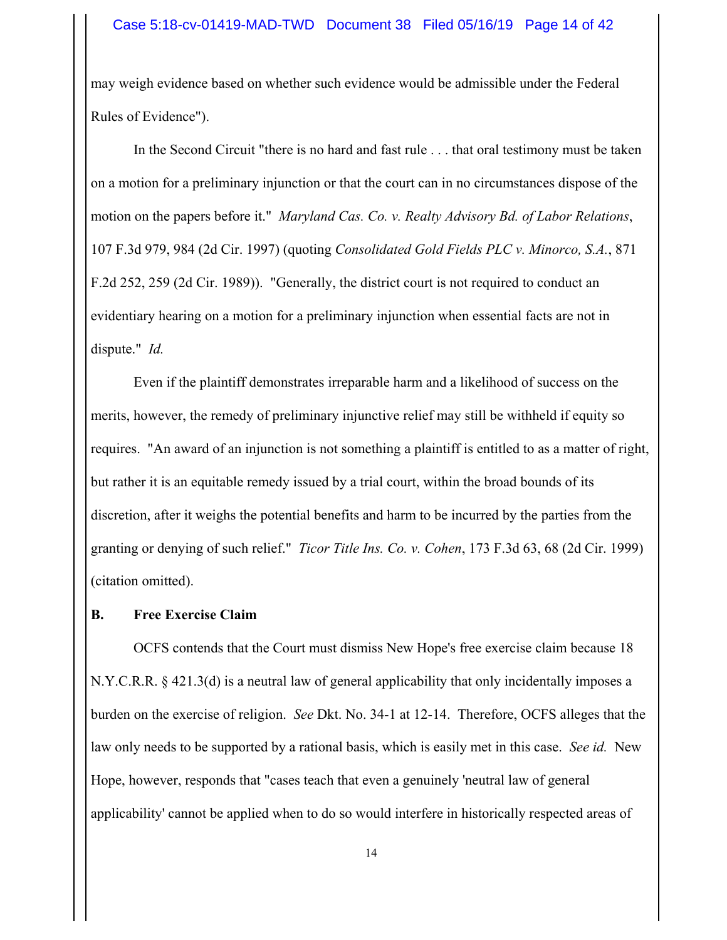may weigh evidence based on whether such evidence would be admissible under the Federal Rules of Evidence").

In the Second Circuit "there is no hard and fast rule . . . that oral testimony must be taken on a motion for a preliminary injunction or that the court can in no circumstances dispose of the motion on the papers before it." *Maryland Cas. Co. v. Realty Advisory Bd. of Labor Relations*, 107 F.3d 979, 984 (2d Cir. 1997) (quoting *Consolidated Gold Fields PLC v. Minorco, S.A.*, 871 F.2d 252, 259 (2d Cir. 1989)). "Generally, the district court is not required to conduct an evidentiary hearing on a motion for a preliminary injunction when essential facts are not in dispute." *Id.*

Even if the plaintiff demonstrates irreparable harm and a likelihood of success on the merits, however, the remedy of preliminary injunctive relief may still be withheld if equity so requires. "An award of an injunction is not something a plaintiff is entitled to as a matter of right, but rather it is an equitable remedy issued by a trial court, within the broad bounds of its discretion, after it weighs the potential benefits and harm to be incurred by the parties from the granting or denying of such relief." *Ticor Title Ins. Co. v. Cohen*, 173 F.3d 63, 68 (2d Cir. 1999) (citation omitted).

## **B. Free Exercise Claim**

OCFS contends that the Court must dismiss New Hope's free exercise claim because 18 N.Y.C.R.R. § 421.3(d) is a neutral law of general applicability that only incidentally imposes a burden on the exercise of religion. *See* Dkt. No. 34-1 at 12-14. Therefore, OCFS alleges that the law only needs to be supported by a rational basis, which is easily met in this case. *See id.* New Hope, however, responds that "cases teach that even a genuinely 'neutral law of general applicability' cannot be applied when to do so would interfere in historically respected areas of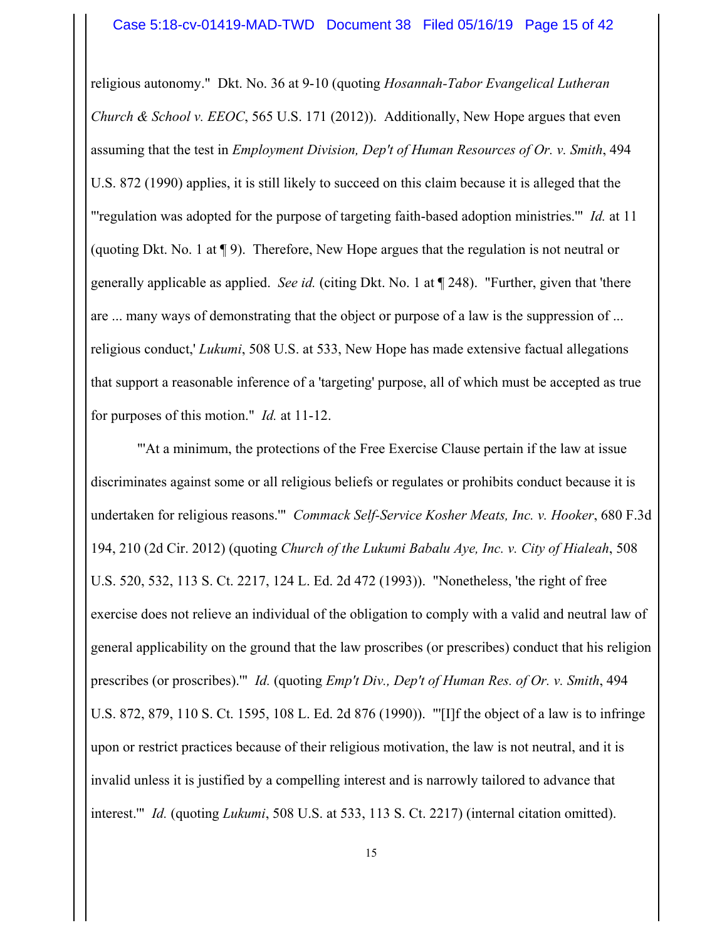religious autonomy." Dkt. No. 36 at 9-10 (quoting *Hosannah-Tabor Evangelical Lutheran Church & School v. EEOC*, 565 U.S. 171 (2012)). Additionally, New Hope argues that even assuming that the test in *Employment Division, Dep't of Human Resources of Or. v. Smith*, 494 U.S. 872 (1990) applies, it is still likely to succeed on this claim because it is alleged that the "'regulation was adopted for the purpose of targeting faith-based adoption ministries.'" *Id.* at 11 (quoting Dkt. No. 1 at ¶ 9). Therefore, New Hope argues that the regulation is not neutral or generally applicable as applied. *See id.* (citing Dkt. No. 1 at ¶ 248). "Further, given that 'there are ... many ways of demonstrating that the object or purpose of a law is the suppression of ... religious conduct,' *Lukumi*, 508 U.S. at 533, New Hope has made extensive factual allegations that support a reasonable inference of a 'targeting' purpose, all of which must be accepted as true for purposes of this motion." *Id.* at 11-12.

 "'At a minimum, the protections of the Free Exercise Clause pertain if the law at issue discriminates against some or all religious beliefs or regulates or prohibits conduct because it is undertaken for religious reasons.'" *Commack Self-Service Kosher Meats, Inc. v. Hooker*, 680 F.3d 194, 210 (2d Cir. 2012) (quoting *Church of the Lukumi Babalu Aye, Inc. v. City of Hialeah*, 508 U.S. 520, 532, 113 S. Ct. 2217, 124 L. Ed. 2d 472 (1993)). "Nonetheless, 'the right of free exercise does not relieve an individual of the obligation to comply with a valid and neutral law of general applicability on the ground that the law proscribes (or prescribes) conduct that his religion prescribes (or proscribes).'" *Id.* (quoting *Emp't Div., Dep't of Human Res. of Or. v. Smith*, 494 U.S. 872, 879, 110 S. Ct. 1595, 108 L. Ed. 2d 876 (1990)). "'[I]f the object of a law is to infringe upon or restrict practices because of their religious motivation, the law is not neutral, and it is invalid unless it is justified by a compelling interest and is narrowly tailored to advance that interest.'" *Id.* (quoting *Lukumi*, 508 U.S. at 533, 113 S. Ct. 2217) (internal citation omitted).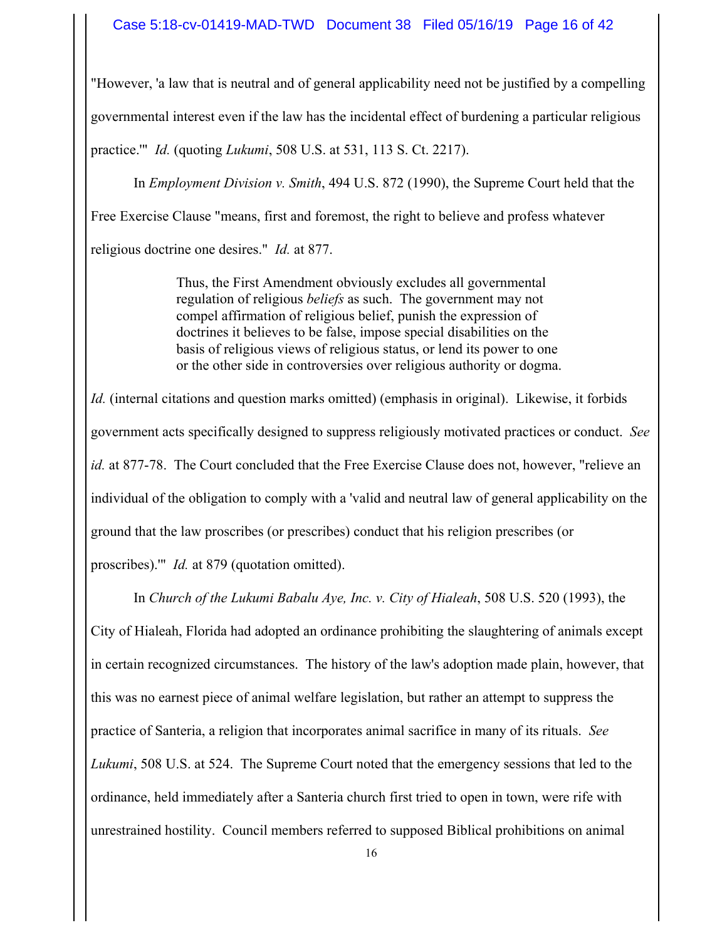## Case 5:18-cv-01419-MAD-TWD Document 38 Filed 05/16/19 Page 16 of 42

"However, 'a law that is neutral and of general applicability need not be justified by a compelling governmental interest even if the law has the incidental effect of burdening a particular religious practice.'" *Id.* (quoting *Lukumi*, 508 U.S. at 531, 113 S. Ct. 2217).

In *Employment Division v. Smith*, 494 U.S. 872 (1990), the Supreme Court held that the Free Exercise Clause "means, first and foremost, the right to believe and profess whatever religious doctrine one desires." *Id.* at 877.

> Thus, the First Amendment obviously excludes all governmental regulation of religious *beliefs* as such. The government may not compel affirmation of religious belief, punish the expression of doctrines it believes to be false, impose special disabilities on the basis of religious views of religious status, or lend its power to one or the other side in controversies over religious authority or dogma.

*Id.* (internal citations and question marks omitted) (emphasis in original). Likewise, it forbids government acts specifically designed to suppress religiously motivated practices or conduct. *See id.* at 877-78. The Court concluded that the Free Exercise Clause does not, however, "relieve an individual of the obligation to comply with a 'valid and neutral law of general applicability on the ground that the law proscribes (or prescribes) conduct that his religion prescribes (or proscribes).'" *Id.* at 879 (quotation omitted).

In *Church of the Lukumi Babalu Aye, Inc. v. City of Hialeah*, 508 U.S. 520 (1993), the City of Hialeah, Florida had adopted an ordinance prohibiting the slaughtering of animals except in certain recognized circumstances. The history of the law's adoption made plain, however, that this was no earnest piece of animal welfare legislation, but rather an attempt to suppress the practice of Santeria, a religion that incorporates animal sacrifice in many of its rituals. *See Lukumi*, 508 U.S. at 524. The Supreme Court noted that the emergency sessions that led to the ordinance, held immediately after a Santeria church first tried to open in town, were rife with unrestrained hostility. Council members referred to supposed Biblical prohibitions on animal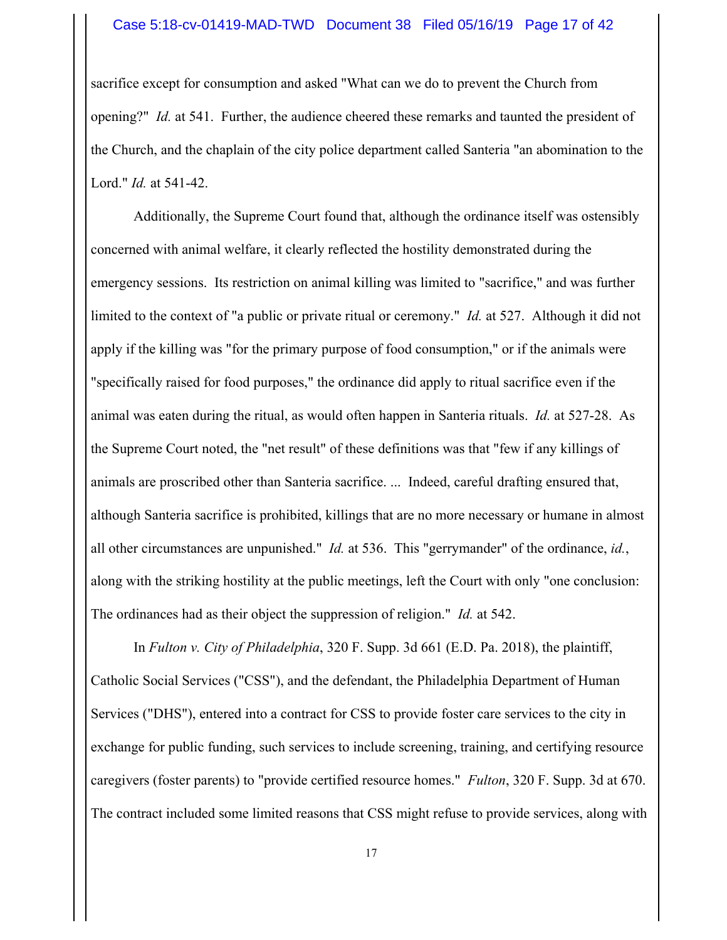#### Case 5:18-cv-01419-MAD-TWD Document 38 Filed 05/16/19 Page 17 of 42

sacrifice except for consumption and asked "What can we do to prevent the Church from opening?" *Id.* at 541. Further, the audience cheered these remarks and taunted the president of the Church, and the chaplain of the city police department called Santeria "an abomination to the Lord." *Id.* at 541-42.

Additionally, the Supreme Court found that, although the ordinance itself was ostensibly concerned with animal welfare, it clearly reflected the hostility demonstrated during the emergency sessions. Its restriction on animal killing was limited to "sacrifice," and was further limited to the context of "a public or private ritual or ceremony." *Id.* at 527. Although it did not apply if the killing was "for the primary purpose of food consumption," or if the animals were "specifically raised for food purposes," the ordinance did apply to ritual sacrifice even if the animal was eaten during the ritual, as would often happen in Santeria rituals. *Id.* at 527-28. As the Supreme Court noted, the "net result" of these definitions was that "few if any killings of animals are proscribed other than Santeria sacrifice. ... Indeed, careful drafting ensured that, although Santeria sacrifice is prohibited, killings that are no more necessary or humane in almost all other circumstances are unpunished." *Id.* at 536. This "gerrymander" of the ordinance, *id.*, along with the striking hostility at the public meetings, left the Court with only "one conclusion: The ordinances had as their object the suppression of religion." *Id.* at 542.

In *Fulton v. City of Philadelphia*, 320 F. Supp. 3d 661 (E.D. Pa. 2018), the plaintiff, Catholic Social Services ("CSS"), and the defendant, the Philadelphia Department of Human Services ("DHS"), entered into a contract for CSS to provide foster care services to the city in exchange for public funding, such services to include screening, training, and certifying resource caregivers (foster parents) to "provide certified resource homes." *Fulton*, 320 F. Supp. 3d at 670. The contract included some limited reasons that CSS might refuse to provide services, along with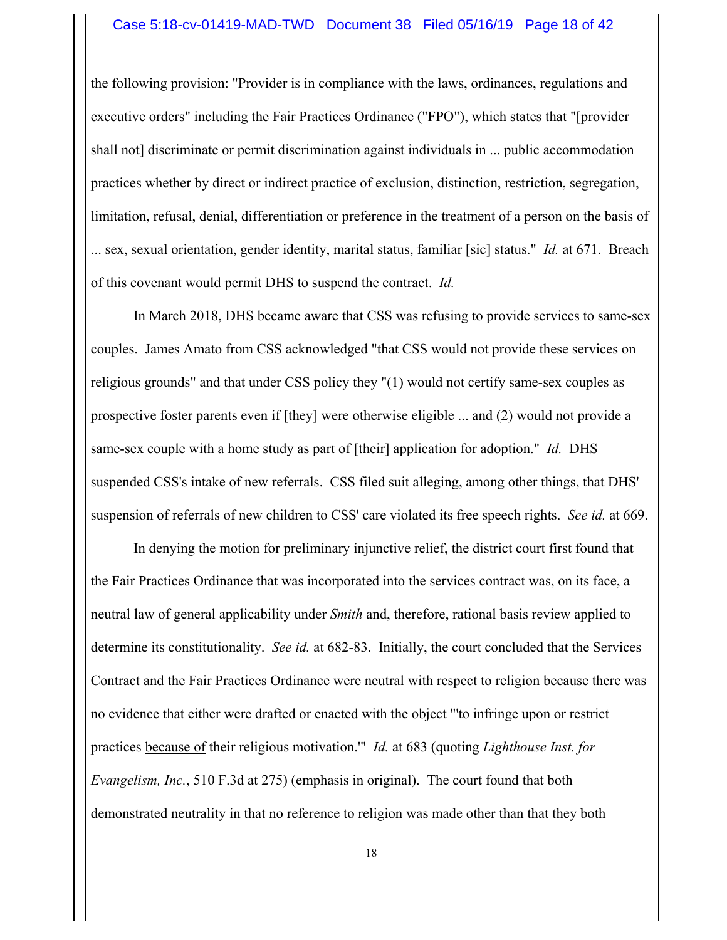#### Case 5:18-cv-01419-MAD-TWD Document 38 Filed 05/16/19 Page 18 of 42

the following provision: "Provider is in compliance with the laws, ordinances, regulations and executive orders" including the Fair Practices Ordinance ("FPO"), which states that "[provider shall not] discriminate or permit discrimination against individuals in ... public accommodation practices whether by direct or indirect practice of exclusion, distinction, restriction, segregation, limitation, refusal, denial, differentiation or preference in the treatment of a person on the basis of ... sex, sexual orientation, gender identity, marital status, familiar [sic] status." *Id.* at 671. Breach of this covenant would permit DHS to suspend the contract. *Id.*

In March 2018, DHS became aware that CSS was refusing to provide services to same-sex couples. James Amato from CSS acknowledged "that CSS would not provide these services on religious grounds" and that under CSS policy they "(1) would not certify same-sex couples as prospective foster parents even if [they] were otherwise eligible ... and (2) would not provide a same-sex couple with a home study as part of [their] application for adoption." *Id.* DHS suspended CSS's intake of new referrals. CSS filed suit alleging, among other things, that DHS' suspension of referrals of new children to CSS' care violated its free speech rights. *See id.* at 669.

In denying the motion for preliminary injunctive relief, the district court first found that the Fair Practices Ordinance that was incorporated into the services contract was, on its face, a neutral law of general applicability under *Smith* and, therefore, rational basis review applied to determine its constitutionality. *See id.* at 682-83. Initially, the court concluded that the Services Contract and the Fair Practices Ordinance were neutral with respect to religion because there was no evidence that either were drafted or enacted with the object "'to infringe upon or restrict practices because of their religious motivation.'" *Id.* at 683 (quoting *Lighthouse Inst. for Evangelism, Inc.*, 510 F.3d at 275) (emphasis in original). The court found that both demonstrated neutrality in that no reference to religion was made other than that they both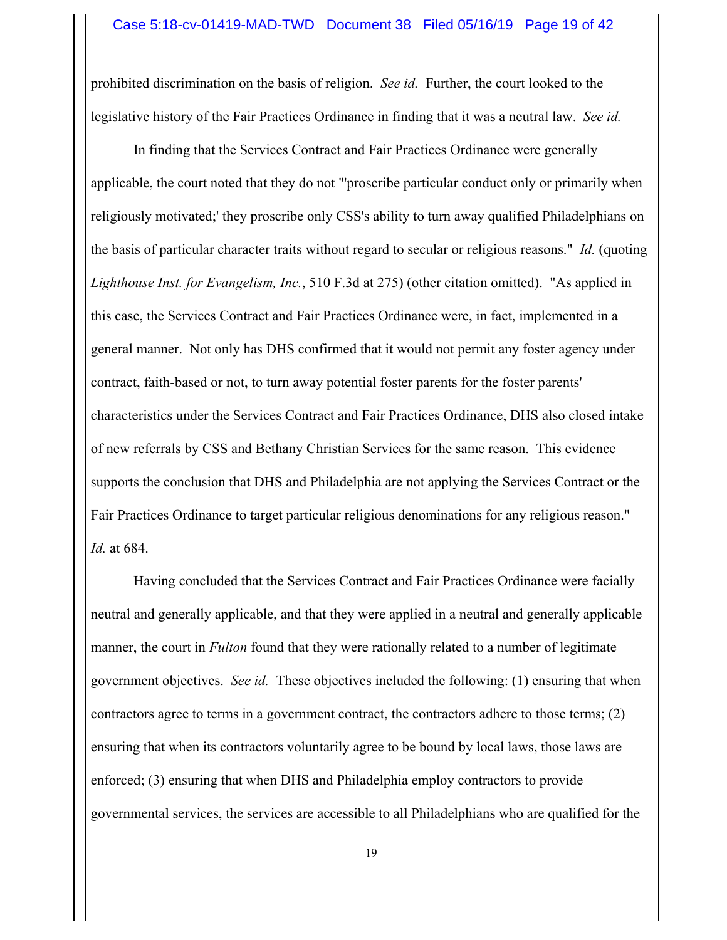prohibited discrimination on the basis of religion. *See id.* Further, the court looked to the legislative history of the Fair Practices Ordinance in finding that it was a neutral law. *See id.*

In finding that the Services Contract and Fair Practices Ordinance were generally applicable, the court noted that they do not "'proscribe particular conduct only or primarily when religiously motivated;' they proscribe only CSS's ability to turn away qualified Philadelphians on the basis of particular character traits without regard to secular or religious reasons." *Id.* (quoting *Lighthouse Inst. for Evangelism, Inc.*, 510 F.3d at 275) (other citation omitted). "As applied in this case, the Services Contract and Fair Practices Ordinance were, in fact, implemented in a general manner. Not only has DHS confirmed that it would not permit any foster agency under contract, faith-based or not, to turn away potential foster parents for the foster parents' characteristics under the Services Contract and Fair Practices Ordinance, DHS also closed intake of new referrals by CSS and Bethany Christian Services for the same reason. This evidence supports the conclusion that DHS and Philadelphia are not applying the Services Contract or the Fair Practices Ordinance to target particular religious denominations for any religious reason." *Id.* at 684.

Having concluded that the Services Contract and Fair Practices Ordinance were facially neutral and generally applicable, and that they were applied in a neutral and generally applicable manner, the court in *Fulton* found that they were rationally related to a number of legitimate government objectives. *See id.* These objectives included the following: (1) ensuring that when contractors agree to terms in a government contract, the contractors adhere to those terms; (2) ensuring that when its contractors voluntarily agree to be bound by local laws, those laws are enforced; (3) ensuring that when DHS and Philadelphia employ contractors to provide governmental services, the services are accessible to all Philadelphians who are qualified for the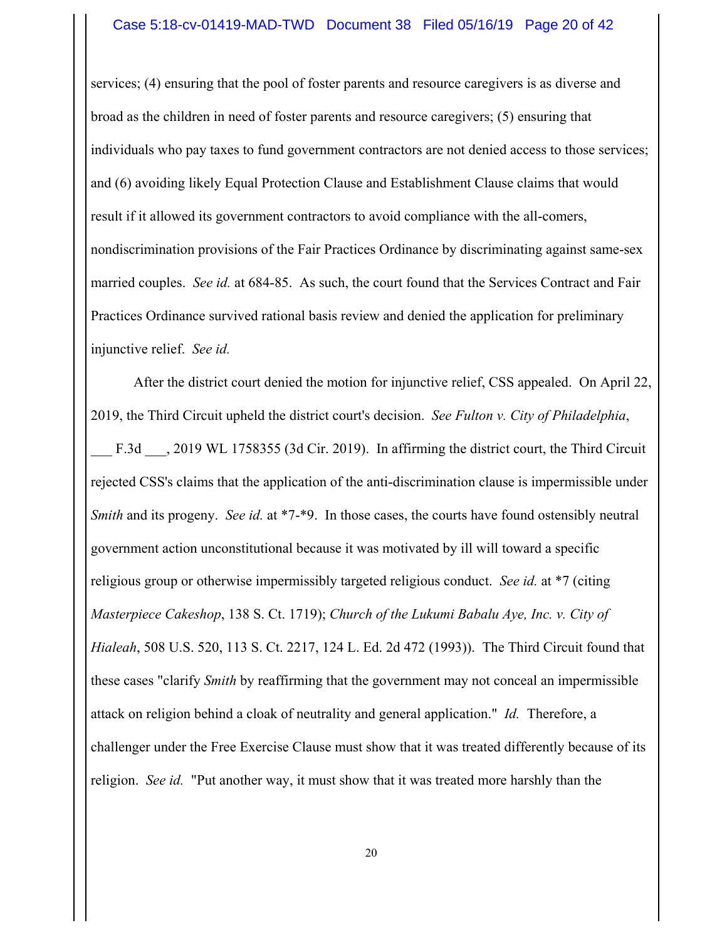services; (4) ensuring that the pool of foster parents and resource caregivers is as diverse and broad as the children in need of foster parents and resource caregivers; (5) ensuring that individuals who pay taxes to fund government contractors are not denied access to those services; and (6) avoiding likely Equal Protection Clause and Establishment Clause claims that would result if it allowed its government contractors to avoid compliance with the all-comers, nondiscrimination provisions of the Fair Practices Ordinance by discriminating against same-sex married couples. *See id.* at 684-85. As such, the court found that the Services Contract and Fair Practices Ordinance survived rational basis review and denied the application for preliminary injunctive relief. *See id.*

After the district court denied the motion for injunctive relief, CSS appealed. On April 22, 2019, the Third Circuit upheld the district court's decision. *See Fulton v. City of Philadelphia*, F.3d  $\phantom{0}$ , 2019 WL 1758355 (3d Cir. 2019). In affirming the district court, the Third Circuit rejected CSS's claims that the application of the anti-discrimination clause is impermissible under *Smith* and its progeny. *See id.* at \*7-\*9. In those cases, the courts have found ostensibly neutral government action unconstitutional because it was motivated by ill will toward a specific religious group or otherwise impermissibly targeted religious conduct. *See id.* at \*7 (citing *Masterpiece Cakeshop*, 138 S. Ct. 1719); *Church of the Lukumi Babalu Aye, Inc. v. City of Hialeah*, 508 U.S. 520, 113 S. Ct. 2217, 124 L. Ed. 2d 472 (1993)). The Third Circuit found that these cases "clarify *Smith* by reaffirming that the government may not conceal an impermissible attack on religion behind a cloak of neutrality and general application." *Id.* Therefore, a challenger under the Free Exercise Clause must show that it was treated differently because of its religion. *See id.* "Put another way, it must show that it was treated more harshly than the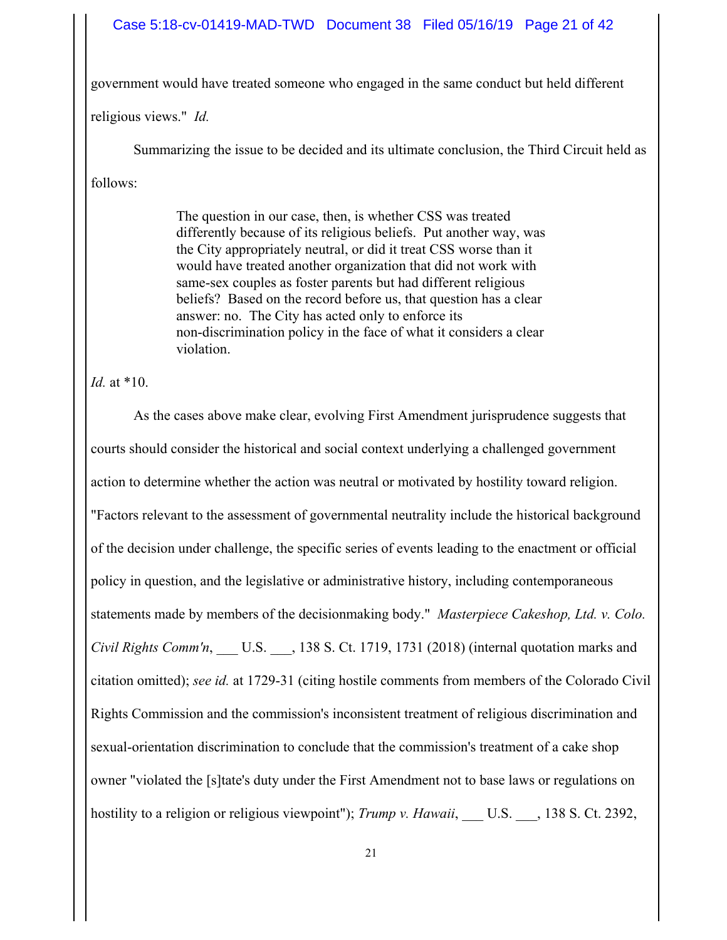## Case 5:18-cv-01419-MAD-TWD Document 38 Filed 05/16/19 Page 21 of 42

government would have treated someone who engaged in the same conduct but held different

religious views." *Id.*

Summarizing the issue to be decided and its ultimate conclusion, the Third Circuit held as follows:

> The question in our case, then, is whether CSS was treated differently because of its religious beliefs. Put another way, was the City appropriately neutral, or did it treat CSS worse than it would have treated another organization that did not work with same-sex couples as foster parents but had different religious beliefs? Based on the record before us, that question has a clear answer: no. The City has acted only to enforce its non-discrimination policy in the face of what it considers a clear violation.

*Id.* at \*10.

As the cases above make clear, evolving First Amendment jurisprudence suggests that courts should consider the historical and social context underlying a challenged government action to determine whether the action was neutral or motivated by hostility toward religion. "Factors relevant to the assessment of governmental neutrality include the historical background of the decision under challenge, the specific series of events leading to the enactment or official policy in question, and the legislative or administrative history, including contemporaneous statements made by members of the decisionmaking body." *Masterpiece Cakeshop, Ltd. v. Colo. Civil Rights Comm'n*, U.S. , 138 S. Ct. 1719, 1731 (2018) (internal quotation marks and citation omitted); *see id.* at 1729-31 (citing hostile comments from members of the Colorado Civil Rights Commission and the commission's inconsistent treatment of religious discrimination and sexual-orientation discrimination to conclude that the commission's treatment of a cake shop owner "violated the [s]tate's duty under the First Amendment not to base laws or regulations on hostility to a religion or religious viewpoint"); *Trump v. Hawaii*, U.S. , 138 S. Ct. 2392,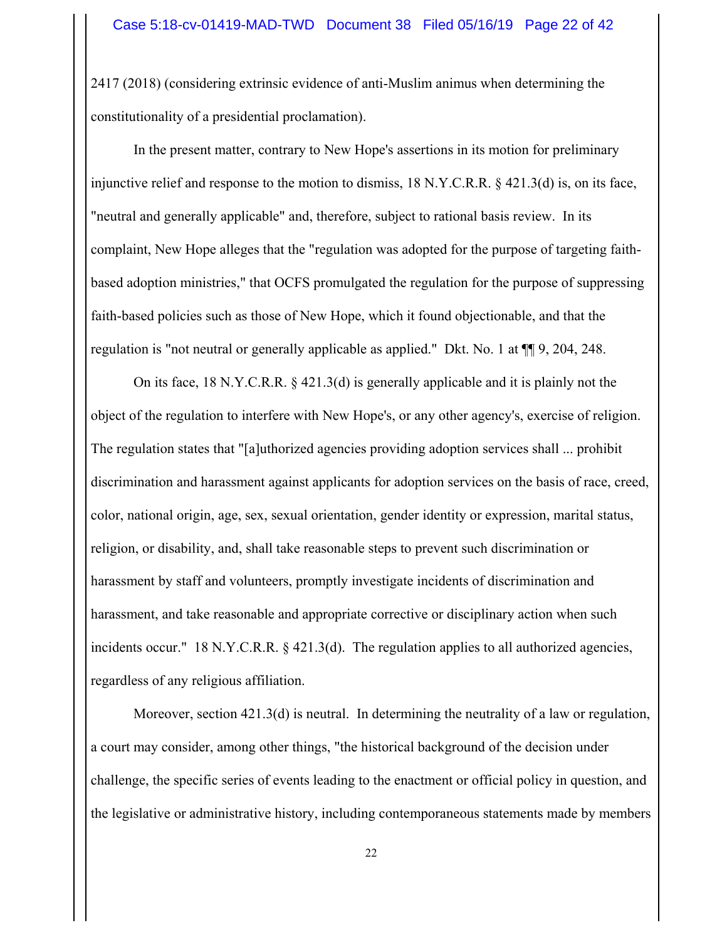2417 (2018) (considering extrinsic evidence of anti-Muslim animus when determining the constitutionality of a presidential proclamation).

In the present matter, contrary to New Hope's assertions in its motion for preliminary injunctive relief and response to the motion to dismiss, 18 N.Y.C.R.R. § 421.3(d) is, on its face, "neutral and generally applicable" and, therefore, subject to rational basis review. In its complaint, New Hope alleges that the "regulation was adopted for the purpose of targeting faithbased adoption ministries," that OCFS promulgated the regulation for the purpose of suppressing faith-based policies such as those of New Hope, which it found objectionable, and that the regulation is "not neutral or generally applicable as applied." Dkt. No. 1 at ¶¶ 9, 204, 248.

On its face, 18 N.Y.C.R.R. § 421.3(d) is generally applicable and it is plainly not the object of the regulation to interfere with New Hope's, or any other agency's, exercise of religion. The regulation states that "[a]uthorized agencies providing adoption services shall ... prohibit discrimination and harassment against applicants for adoption services on the basis of race, creed, color, national origin, age, sex, sexual orientation, gender identity or expression, marital status, religion, or disability, and, shall take reasonable steps to prevent such discrimination or harassment by staff and volunteers, promptly investigate incidents of discrimination and harassment, and take reasonable and appropriate corrective or disciplinary action when such incidents occur." 18 N.Y.C.R.R. § 421.3(d). The regulation applies to all authorized agencies, regardless of any religious affiliation.

Moreover, section 421.3(d) is neutral. In determining the neutrality of a law or regulation, a court may consider, among other things, "the historical background of the decision under challenge, the specific series of events leading to the enactment or official policy in question, and the legislative or administrative history, including contemporaneous statements made by members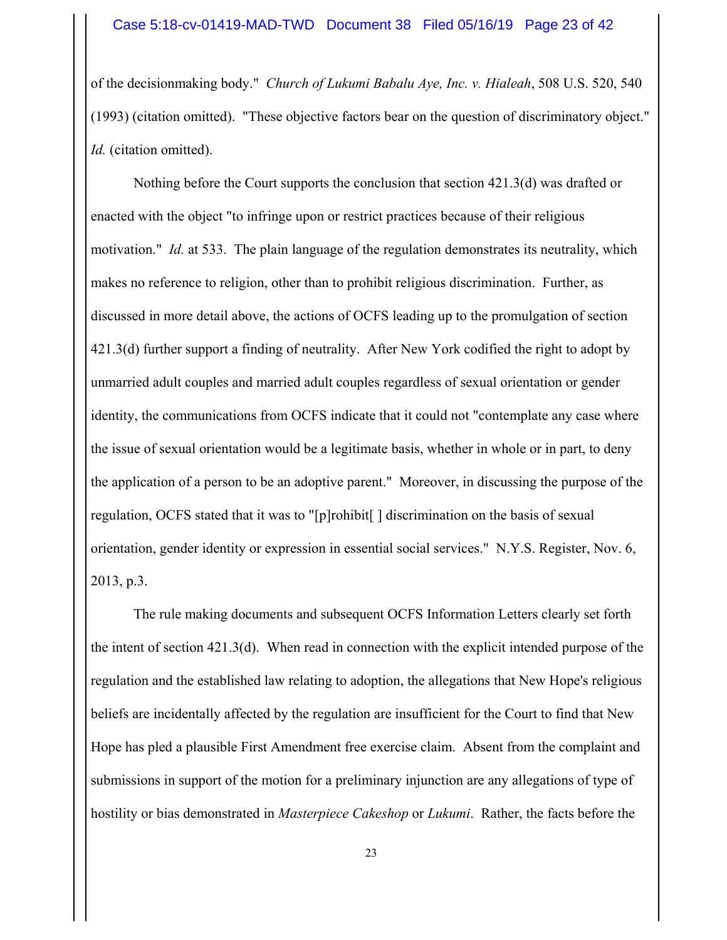of the decisionmaking body." *Church of Lukumi Babalu Aye, Inc. v. Hialeah*, 508 U.S. 520, 540 (1993) (citation omitted). "These objective factors bear on the question of discriminatory object." *Id.* (citation omitted).

Nothing before the Court supports the conclusion that section 421.3(d) was drafted or enacted with the object "to infringe upon or restrict practices because of their religious motivation." *Id.* at 533. The plain language of the regulation demonstrates its neutrality, which makes no reference to religion, other than to prohibit religious discrimination. Further, as discussed in more detail above, the actions of OCFS leading up to the promulgation of section 421.3(d) further support a finding of neutrality. After New York codified the right to adopt by unmarried adult couples and married adult couples regardless of sexual orientation or gender identity, the communications from OCFS indicate that it could not "contemplate any case where the issue of sexual orientation would be a legitimate basis, whether in whole or in part, to deny the application of a person to be an adoptive parent." Moreover, in discussing the purpose of the regulation, OCFS stated that it was to "[p]rohibit[ ] discrimination on the basis of sexual orientation, gender identity or expression in essential social services." N.Y.S. Register, Nov. 6, 2013, p.3.

The rule making documents and subsequent OCFS Information Letters clearly set forth the intent of section 421.3(d). When read in connection with the explicit intended purpose of the regulation and the established law relating to adoption, the allegations that New Hope's religious beliefs are incidentally affected by the regulation are insufficient for the Court to find that New Hope has pled a plausible First Amendment free exercise claim. Absent from the complaint and submissions in support of the motion for a preliminary injunction are any allegations of type of hostility or bias demonstrated in *Masterpiece Cakeshop* or *Lukumi*. Rather, the facts before the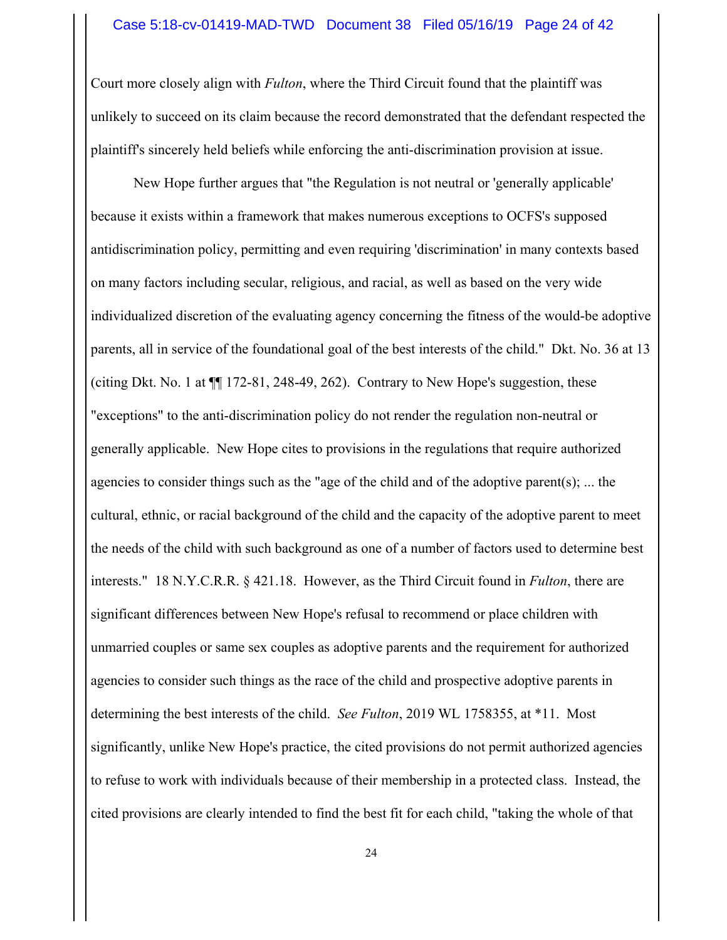Court more closely align with *Fulton*, where the Third Circuit found that the plaintiff was unlikely to succeed on its claim because the record demonstrated that the defendant respected the plaintiff's sincerely held beliefs while enforcing the anti-discrimination provision at issue.

New Hope further argues that "the Regulation is not neutral or 'generally applicable' because it exists within a framework that makes numerous exceptions to OCFS's supposed antidiscrimination policy, permitting and even requiring 'discrimination' in many contexts based on many factors including secular, religious, and racial, as well as based on the very wide individualized discretion of the evaluating agency concerning the fitness of the would-be adoptive parents, all in service of the foundational goal of the best interests of the child." Dkt. No. 36 at 13 (citing Dkt. No. 1 at ¶¶ 172-81, 248-49, 262). Contrary to New Hope's suggestion, these "exceptions" to the anti-discrimination policy do not render the regulation non-neutral or generally applicable. New Hope cites to provisions in the regulations that require authorized agencies to consider things such as the "age of the child and of the adoptive parent(s); ... the cultural, ethnic, or racial background of the child and the capacity of the adoptive parent to meet the needs of the child with such background as one of a number of factors used to determine best interests." 18 N.Y.C.R.R. § 421.18. However, as the Third Circuit found in *Fulton*, there are significant differences between New Hope's refusal to recommend or place children with unmarried couples or same sex couples as adoptive parents and the requirement for authorized agencies to consider such things as the race of the child and prospective adoptive parents in determining the best interests of the child. *See Fulton*, 2019 WL 1758355, at \*11. Most significantly, unlike New Hope's practice, the cited provisions do not permit authorized agencies to refuse to work with individuals because of their membership in a protected class. Instead, the cited provisions are clearly intended to find the best fit for each child, "taking the whole of that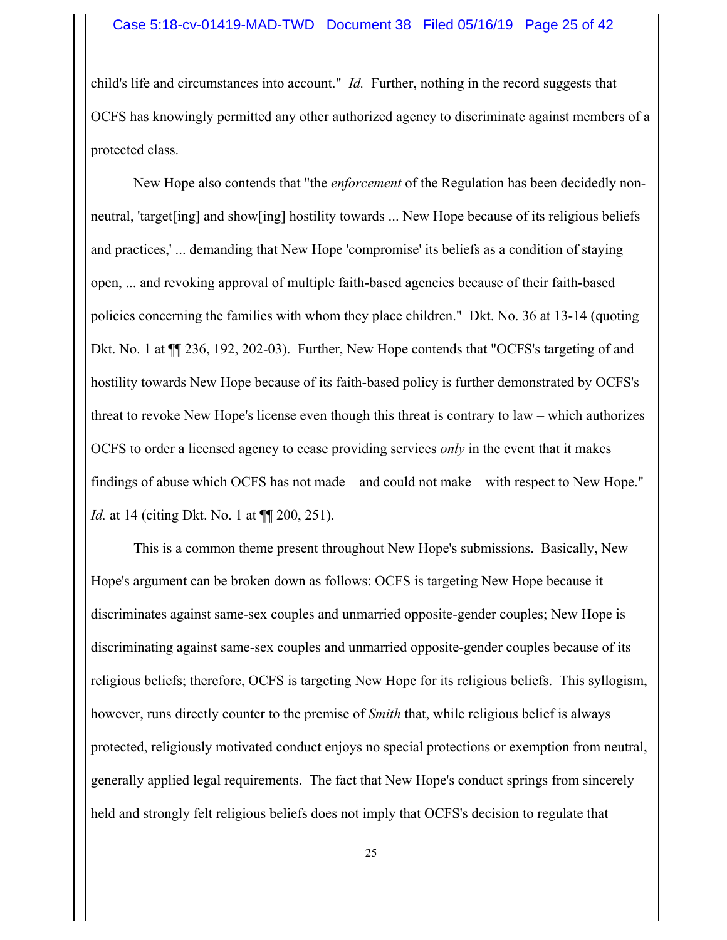child's life and circumstances into account." *Id.* Further, nothing in the record suggests that OCFS has knowingly permitted any other authorized agency to discriminate against members of a protected class.

New Hope also contends that "the *enforcement* of the Regulation has been decidedly nonneutral, 'target[ing] and show[ing] hostility towards ... New Hope because of its religious beliefs and practices,' ... demanding that New Hope 'compromise' its beliefs as a condition of staying open, ... and revoking approval of multiple faith-based agencies because of their faith-based policies concerning the families with whom they place children." Dkt. No. 36 at 13-14 (quoting Dkt. No. 1 at ¶¶ 236, 192, 202-03). Further, New Hope contends that "OCFS's targeting of and hostility towards New Hope because of its faith-based policy is further demonstrated by OCFS's threat to revoke New Hope's license even though this threat is contrary to law – which authorizes OCFS to order a licensed agency to cease providing services *only* in the event that it makes findings of abuse which OCFS has not made – and could not make – with respect to New Hope." *Id.* at 14 (citing Dkt. No. 1 at  $\P$  200, 251).

This is a common theme present throughout New Hope's submissions. Basically, New Hope's argument can be broken down as follows: OCFS is targeting New Hope because it discriminates against same-sex couples and unmarried opposite-gender couples; New Hope is discriminating against same-sex couples and unmarried opposite-gender couples because of its religious beliefs; therefore, OCFS is targeting New Hope for its religious beliefs. This syllogism, however, runs directly counter to the premise of *Smith* that, while religious belief is always protected, religiously motivated conduct enjoys no special protections or exemption from neutral, generally applied legal requirements. The fact that New Hope's conduct springs from sincerely held and strongly felt religious beliefs does not imply that OCFS's decision to regulate that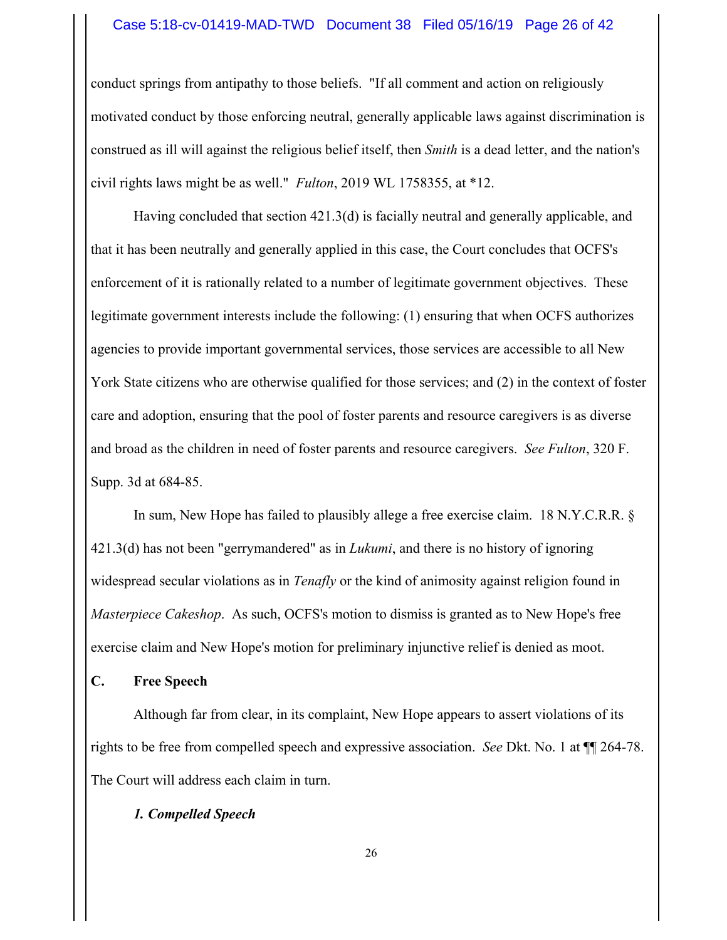#### Case 5:18-cv-01419-MAD-TWD Document 38 Filed 05/16/19 Page 26 of 42

conduct springs from antipathy to those beliefs. "If all comment and action on religiously motivated conduct by those enforcing neutral, generally applicable laws against discrimination is construed as ill will against the religious belief itself, then *Smith* is a dead letter, and the nation's civil rights laws might be as well." *Fulton*, 2019 WL 1758355, at \*12.

Having concluded that section 421.3(d) is facially neutral and generally applicable, and that it has been neutrally and generally applied in this case, the Court concludes that OCFS's enforcement of it is rationally related to a number of legitimate government objectives. These legitimate government interests include the following: (1) ensuring that when OCFS authorizes agencies to provide important governmental services, those services are accessible to all New York State citizens who are otherwise qualified for those services; and (2) in the context of foster care and adoption, ensuring that the pool of foster parents and resource caregivers is as diverse and broad as the children in need of foster parents and resource caregivers. *See Fulton*, 320 F. Supp. 3d at 684-85.

In sum, New Hope has failed to plausibly allege a free exercise claim. 18 N.Y.C.R.R. § 421.3(d) has not been "gerrymandered" as in *Lukumi*, and there is no history of ignoring widespread secular violations as in *Tenafly* or the kind of animosity against religion found in *Masterpiece Cakeshop*. As such, OCFS's motion to dismiss is granted as to New Hope's free exercise claim and New Hope's motion for preliminary injunctive relief is denied as moot.

## **C. Free Speech**

Although far from clear, in its complaint, New Hope appears to assert violations of its rights to be free from compelled speech and expressive association. *See* Dkt. No. 1 at ¶¶ 264-78. The Court will address each claim in turn.

## *1. Compelled Speech*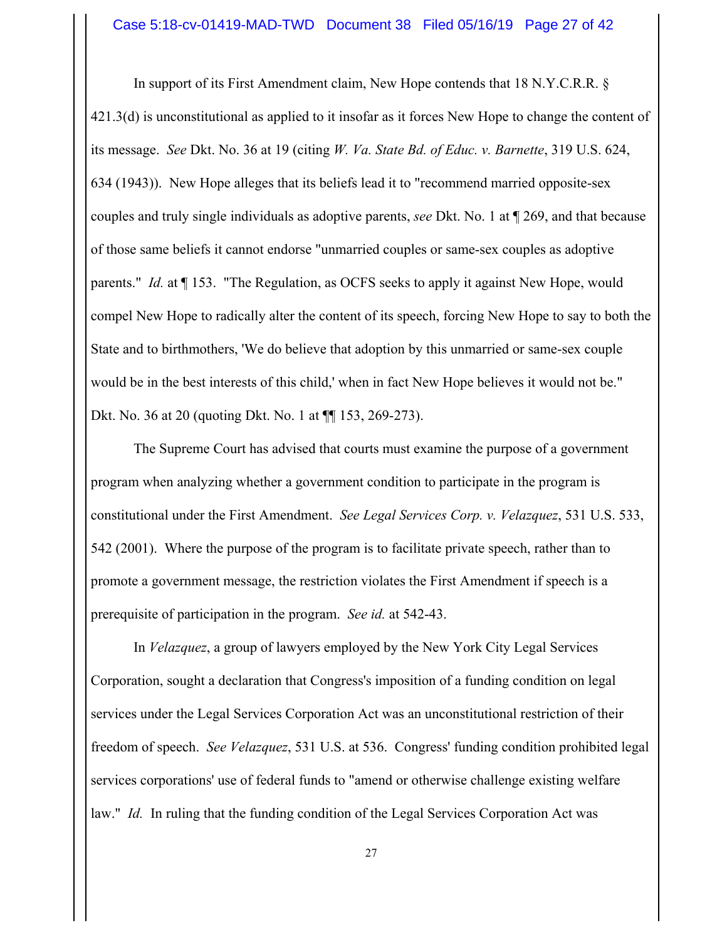In support of its First Amendment claim, New Hope contends that 18 N.Y.C.R.R. § 421.3(d) is unconstitutional as applied to it insofar as it forces New Hope to change the content of its message. *See* Dkt. No. 36 at 19 (citing *W. Va. State Bd. of Educ. v. Barnette*, 319 U.S. 624, 634 (1943)). New Hope alleges that its beliefs lead it to "recommend married opposite-sex couples and truly single individuals as adoptive parents, *see* Dkt. No. 1 at ¶ 269, and that because of those same beliefs it cannot endorse "unmarried couples or same-sex couples as adoptive parents." *Id.* at ¶ 153. "The Regulation, as OCFS seeks to apply it against New Hope, would compel New Hope to radically alter the content of its speech, forcing New Hope to say to both the State and to birthmothers, 'We do believe that adoption by this unmarried or same-sex couple would be in the best interests of this child,' when in fact New Hope believes it would not be." Dkt. No. 36 at 20 (quoting Dkt. No. 1 at ¶¶ 153, 269-273).

The Supreme Court has advised that courts must examine the purpose of a government program when analyzing whether a government condition to participate in the program is constitutional under the First Amendment. *See Legal Services Corp. v. Velazquez*, 531 U.S. 533, 542 (2001). Where the purpose of the program is to facilitate private speech, rather than to promote a government message, the restriction violates the First Amendment if speech is a prerequisite of participation in the program. *See id.* at 542-43.

In *Velazquez*, a group of lawyers employed by the New York City Legal Services Corporation, sought a declaration that Congress's imposition of a funding condition on legal services under the Legal Services Corporation Act was an unconstitutional restriction of their freedom of speech. *See Velazquez*, 531 U.S. at 536. Congress' funding condition prohibited legal services corporations' use of federal funds to "amend or otherwise challenge existing welfare law." *Id.* In ruling that the funding condition of the Legal Services Corporation Act was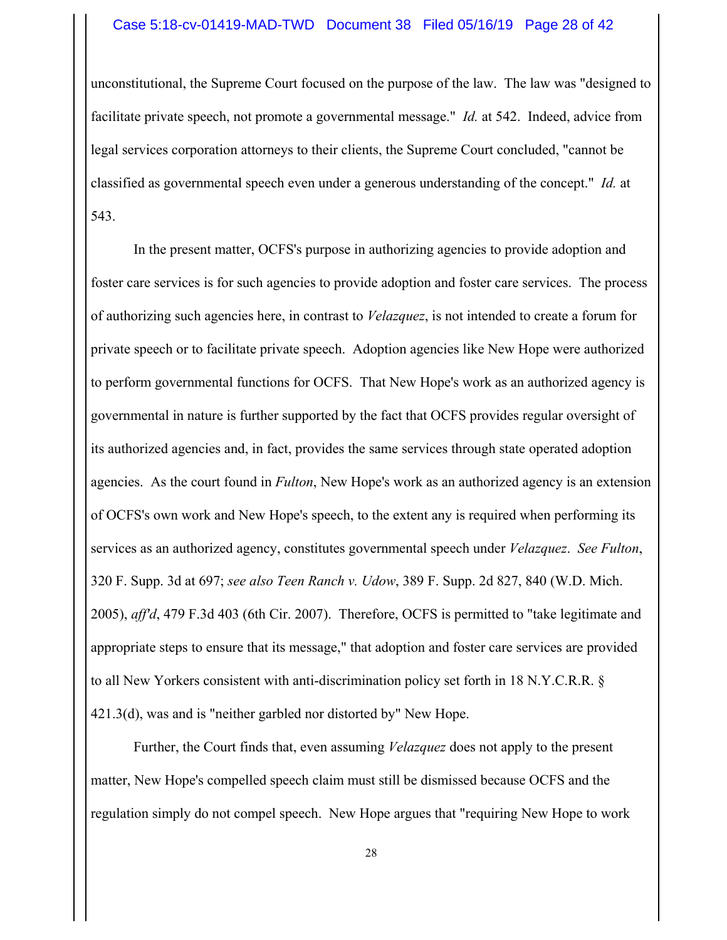#### Case 5:18-cv-01419-MAD-TWD Document 38 Filed 05/16/19 Page 28 of 42

unconstitutional, the Supreme Court focused on the purpose of the law. The law was "designed to facilitate private speech, not promote a governmental message." *Id.* at 542. Indeed, advice from legal services corporation attorneys to their clients, the Supreme Court concluded, "cannot be classified as governmental speech even under a generous understanding of the concept." *Id.* at 543.

In the present matter, OCFS's purpose in authorizing agencies to provide adoption and foster care services is for such agencies to provide adoption and foster care services. The process of authorizing such agencies here, in contrast to *Velazquez*, is not intended to create a forum for private speech or to facilitate private speech. Adoption agencies like New Hope were authorized to perform governmental functions for OCFS. That New Hope's work as an authorized agency is governmental in nature is further supported by the fact that OCFS provides regular oversight of its authorized agencies and, in fact, provides the same services through state operated adoption agencies. As the court found in *Fulton*, New Hope's work as an authorized agency is an extension of OCFS's own work and New Hope's speech, to the extent any is required when performing its services as an authorized agency, constitutes governmental speech under *Velazquez*. *See Fulton*, 320 F. Supp. 3d at 697; *see also Teen Ranch v. Udow*, 389 F. Supp. 2d 827, 840 (W.D. Mich. 2005), *aff'd*, 479 F.3d 403 (6th Cir. 2007). Therefore, OCFS is permitted to "take legitimate and appropriate steps to ensure that its message," that adoption and foster care services are provided to all New Yorkers consistent with anti-discrimination policy set forth in 18 N.Y.C.R.R. § 421.3(d), was and is "neither garbled nor distorted by" New Hope.

Further, the Court finds that, even assuming *Velazquez* does not apply to the present matter, New Hope's compelled speech claim must still be dismissed because OCFS and the regulation simply do not compel speech. New Hope argues that "requiring New Hope to work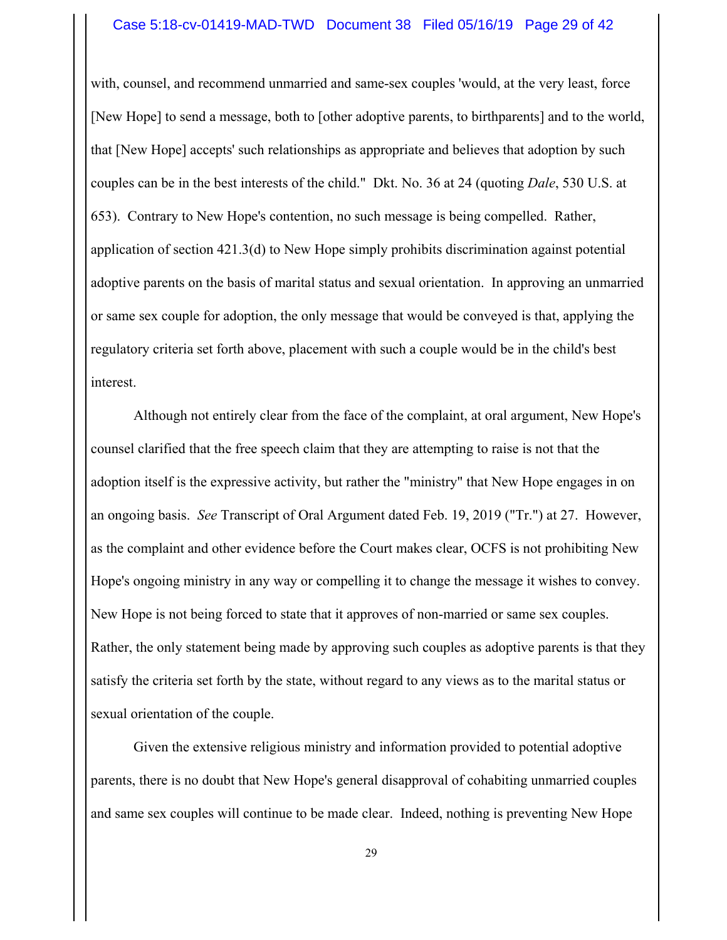#### Case 5:18-cv-01419-MAD-TWD Document 38 Filed 05/16/19 Page 29 of 42

with, counsel, and recommend unmarried and same-sex couples 'would, at the very least, force [New Hope] to send a message, both to [other adoptive parents, to birthparents] and to the world, that [New Hope] accepts' such relationships as appropriate and believes that adoption by such couples can be in the best interests of the child." Dkt. No. 36 at 24 (quoting *Dale*, 530 U.S. at 653). Contrary to New Hope's contention, no such message is being compelled. Rather, application of section 421.3(d) to New Hope simply prohibits discrimination against potential adoptive parents on the basis of marital status and sexual orientation. In approving an unmarried or same sex couple for adoption, the only message that would be conveyed is that, applying the regulatory criteria set forth above, placement with such a couple would be in the child's best interest.

Although not entirely clear from the face of the complaint, at oral argument, New Hope's counsel clarified that the free speech claim that they are attempting to raise is not that the adoption itself is the expressive activity, but rather the "ministry" that New Hope engages in on an ongoing basis. *See* Transcript of Oral Argument dated Feb. 19, 2019 ("Tr.") at 27. However, as the complaint and other evidence before the Court makes clear, OCFS is not prohibiting New Hope's ongoing ministry in any way or compelling it to change the message it wishes to convey. New Hope is not being forced to state that it approves of non-married or same sex couples. Rather, the only statement being made by approving such couples as adoptive parents is that they satisfy the criteria set forth by the state, without regard to any views as to the marital status or sexual orientation of the couple.

Given the extensive religious ministry and information provided to potential adoptive parents, there is no doubt that New Hope's general disapproval of cohabiting unmarried couples and same sex couples will continue to be made clear. Indeed, nothing is preventing New Hope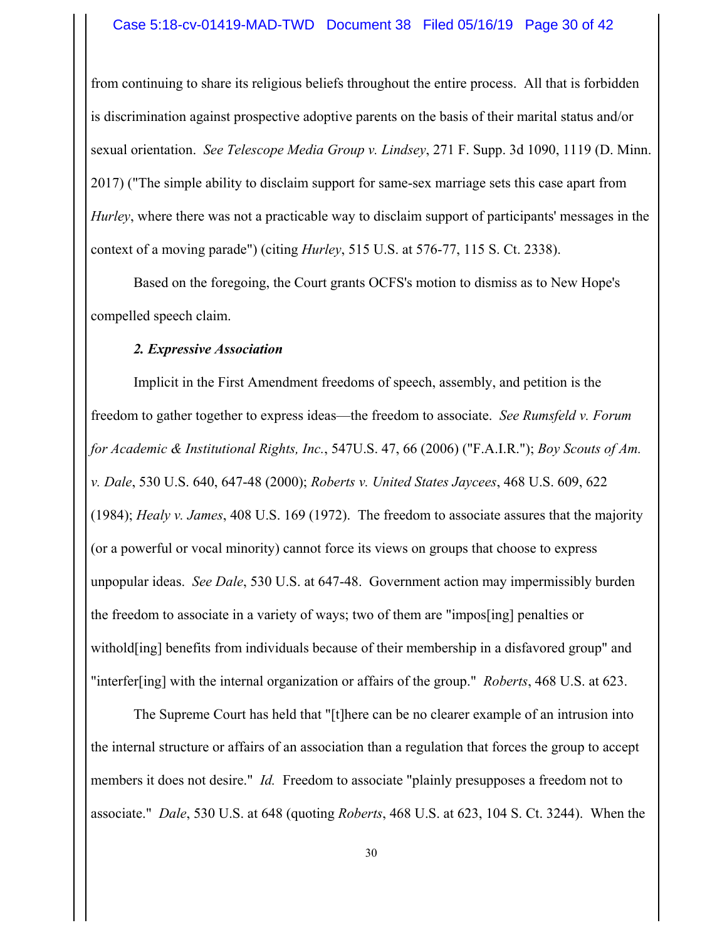from continuing to share its religious beliefs throughout the entire process. All that is forbidden is discrimination against prospective adoptive parents on the basis of their marital status and/or sexual orientation. *See Telescope Media Group v. Lindsey*, 271 F. Supp. 3d 1090, 1119 (D. Minn. 2017) ("The simple ability to disclaim support for same-sex marriage sets this case apart from *Hurley*, where there was not a practicable way to disclaim support of participants' messages in the context of a moving parade") (citing *Hurley*, 515 U.S. at 576-77, 115 S. Ct. 2338).

Based on the foregoing, the Court grants OCFS's motion to dismiss as to New Hope's compelled speech claim.

## *2. Expressive Association*

Implicit in the First Amendment freedoms of speech, assembly, and petition is the freedom to gather together to express ideas—the freedom to associate. *See Rumsfeld v. Forum for Academic & Institutional Rights, Inc.*, 547U.S. 47, 66 (2006) ("F.A.I.R."); *Boy Scouts of Am. v. Dale*, 530 U.S. 640, 647-48 (2000); *Roberts v. United States Jaycees*, 468 U.S. 609, 622 (1984); *Healy v. James*, 408 U.S. 169 (1972). The freedom to associate assures that the majority (or a powerful or vocal minority) cannot force its views on groups that choose to express unpopular ideas. *See Dale*, 530 U.S. at 647-48. Government action may impermissibly burden the freedom to associate in a variety of ways; two of them are "impos[ing] penalties or withold[ing] benefits from individuals because of their membership in a disfavored group" and "interfer[ing] with the internal organization or affairs of the group." *Roberts*, 468 U.S. at 623.

The Supreme Court has held that "[t]here can be no clearer example of an intrusion into the internal structure or affairs of an association than a regulation that forces the group to accept members it does not desire." *Id.* Freedom to associate "plainly presupposes a freedom not to associate." *Dale*, 530 U.S. at 648 (quoting *Roberts*, 468 U.S. at 623, 104 S. Ct. 3244). When the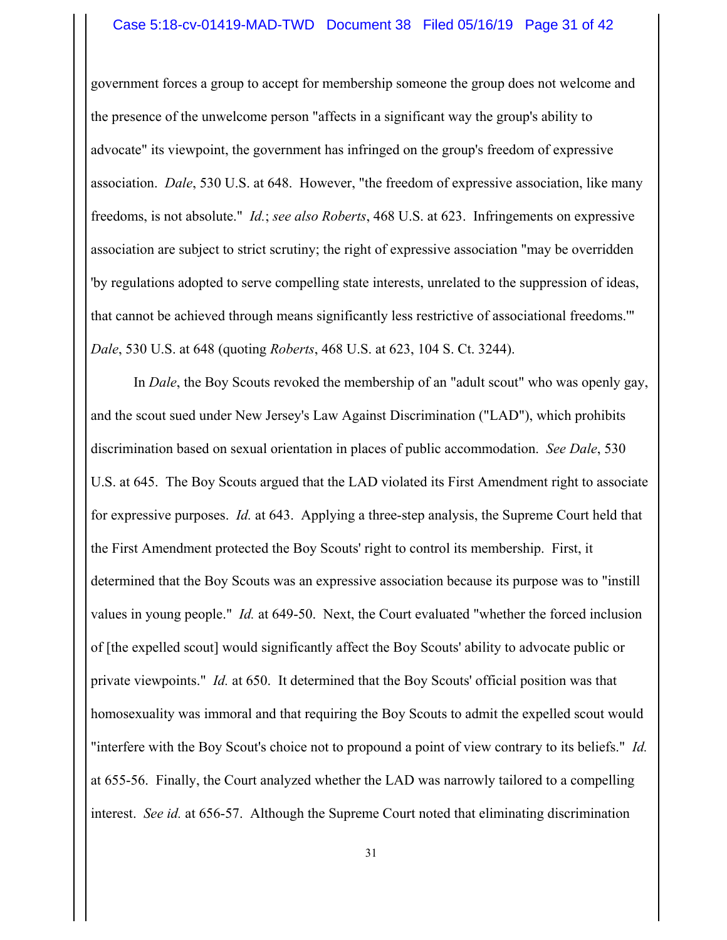#### Case 5:18-cv-01419-MAD-TWD Document 38 Filed 05/16/19 Page 31 of 42

government forces a group to accept for membership someone the group does not welcome and the presence of the unwelcome person "affects in a significant way the group's ability to advocate" its viewpoint, the government has infringed on the group's freedom of expressive association. *Dale*, 530 U.S. at 648. However, "the freedom of expressive association, like many freedoms, is not absolute." *Id.*; *see also Roberts*, 468 U.S. at 623. Infringements on expressive association are subject to strict scrutiny; the right of expressive association "may be overridden 'by regulations adopted to serve compelling state interests, unrelated to the suppression of ideas, that cannot be achieved through means significantly less restrictive of associational freedoms.'" *Dale*, 530 U.S. at 648 (quoting *Roberts*, 468 U.S. at 623, 104 S. Ct. 3244).

In *Dale*, the Boy Scouts revoked the membership of an "adult scout" who was openly gay, and the scout sued under New Jersey's Law Against Discrimination ("LAD"), which prohibits discrimination based on sexual orientation in places of public accommodation. *See Dale*, 530 U.S. at 645. The Boy Scouts argued that the LAD violated its First Amendment right to associate for expressive purposes. *Id.* at 643. Applying a three-step analysis, the Supreme Court held that the First Amendment protected the Boy Scouts' right to control its membership. First, it determined that the Boy Scouts was an expressive association because its purpose was to "instill values in young people." *Id.* at 649-50. Next, the Court evaluated "whether the forced inclusion of [the expelled scout] would significantly affect the Boy Scouts' ability to advocate public or private viewpoints." *Id.* at 650. It determined that the Boy Scouts' official position was that homosexuality was immoral and that requiring the Boy Scouts to admit the expelled scout would "interfere with the Boy Scout's choice not to propound a point of view contrary to its beliefs." *Id.* at 655-56. Finally, the Court analyzed whether the LAD was narrowly tailored to a compelling interest. *See id.* at 656-57. Although the Supreme Court noted that eliminating discrimination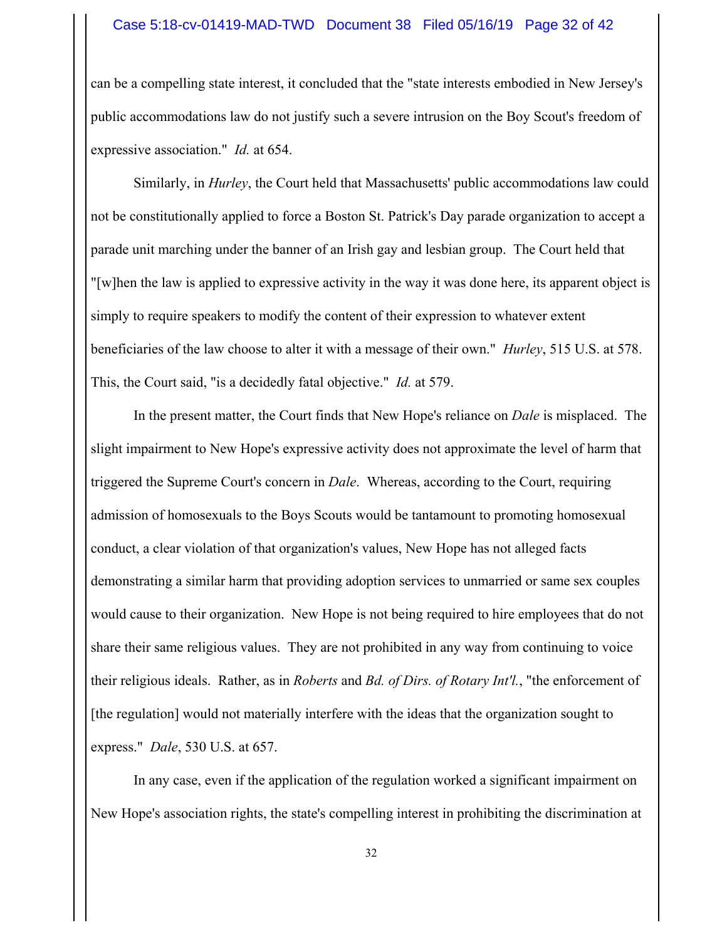#### Case 5:18-cv-01419-MAD-TWD Document 38 Filed 05/16/19 Page 32 of 42

can be a compelling state interest, it concluded that the "state interests embodied in New Jersey's public accommodations law do not justify such a severe intrusion on the Boy Scout's freedom of expressive association." *Id.* at 654.

Similarly, in *Hurley*, the Court held that Massachusetts' public accommodations law could not be constitutionally applied to force a Boston St. Patrick's Day parade organization to accept a parade unit marching under the banner of an Irish gay and lesbian group. The Court held that "[w]hen the law is applied to expressive activity in the way it was done here, its apparent object is simply to require speakers to modify the content of their expression to whatever extent beneficiaries of the law choose to alter it with a message of their own." *Hurley*, 515 U.S. at 578. This, the Court said, "is a decidedly fatal objective." *Id.* at 579.

In the present matter, the Court finds that New Hope's reliance on *Dale* is misplaced. The slight impairment to New Hope's expressive activity does not approximate the level of harm that triggered the Supreme Court's concern in *Dale*. Whereas, according to the Court, requiring admission of homosexuals to the Boys Scouts would be tantamount to promoting homosexual conduct, a clear violation of that organization's values, New Hope has not alleged facts demonstrating a similar harm that providing adoption services to unmarried or same sex couples would cause to their organization. New Hope is not being required to hire employees that do not share their same religious values. They are not prohibited in any way from continuing to voice their religious ideals. Rather, as in *Roberts* and *Bd. of Dirs. of Rotary Int'l.*, "the enforcement of [the regulation] would not materially interfere with the ideas that the organization sought to express." *Dale*, 530 U.S. at 657.

In any case, even if the application of the regulation worked a significant impairment on New Hope's association rights, the state's compelling interest in prohibiting the discrimination at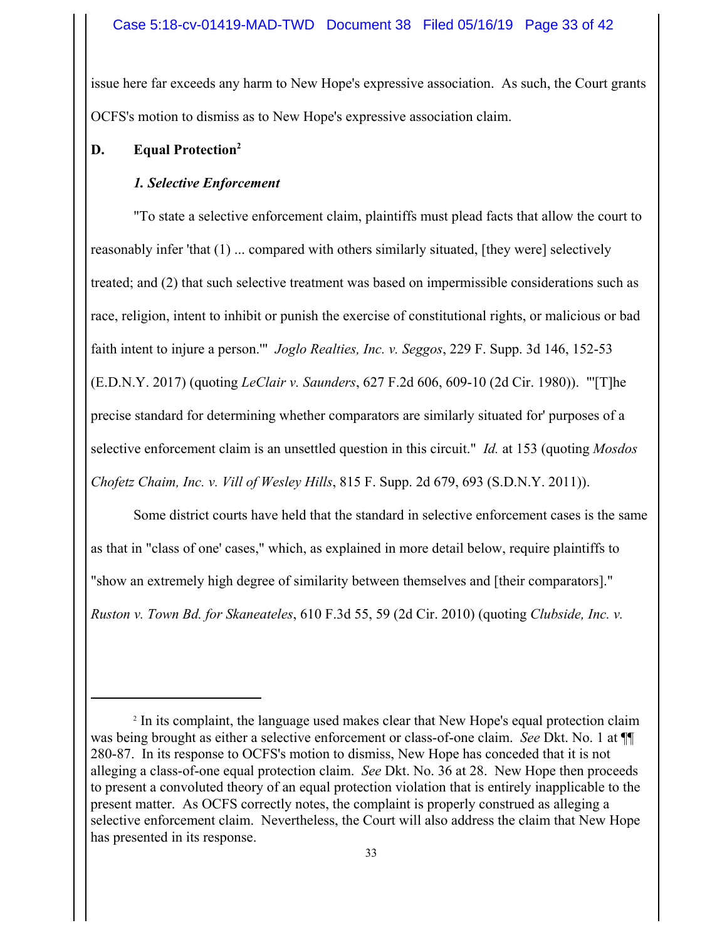issue here far exceeds any harm to New Hope's expressive association. As such, the Court grants OCFS's motion to dismiss as to New Hope's expressive association claim.

# **D. Equal Protection2**

# *1. Selective Enforcement*

"To state a selective enforcement claim, plaintiffs must plead facts that allow the court to reasonably infer 'that (1) ... compared with others similarly situated, [they were] selectively treated; and (2) that such selective treatment was based on impermissible considerations such as race, religion, intent to inhibit or punish the exercise of constitutional rights, or malicious or bad faith intent to injure a person.'" *Joglo Realties, Inc. v. Seggos*, 229 F. Supp. 3d 146, 152-53 (E.D.N.Y. 2017) (quoting *LeClair v. Saunders*, 627 F.2d 606, 609-10 (2d Cir. 1980)). "'[T]he precise standard for determining whether comparators are similarly situated for' purposes of a selective enforcement claim is an unsettled question in this circuit." *Id.* at 153 (quoting *Mosdos Chofetz Chaim, Inc. v. Vill of Wesley Hills*, 815 F. Supp. 2d 679, 693 (S.D.N.Y. 2011)).

Some district courts have held that the standard in selective enforcement cases is the same as that in "class of one' cases," which, as explained in more detail below, require plaintiffs to "show an extremely high degree of similarity between themselves and [their comparators]." *Ruston v. Town Bd. for Skaneateles*, 610 F.3d 55, 59 (2d Cir. 2010) (quoting *Clubside, Inc. v.*

<sup>&</sup>lt;sup>2</sup> In its complaint, the language used makes clear that New Hope's equal protection claim was being brought as either a selective enforcement or class-of-one claim. *See* Dkt. No. 1 at ¶¶ 280-87. In its response to OCFS's motion to dismiss, New Hope has conceded that it is not alleging a class-of-one equal protection claim. *See* Dkt. No. 36 at 28. New Hope then proceeds to present a convoluted theory of an equal protection violation that is entirely inapplicable to the present matter. As OCFS correctly notes, the complaint is properly construed as alleging a selective enforcement claim. Nevertheless, the Court will also address the claim that New Hope has presented in its response.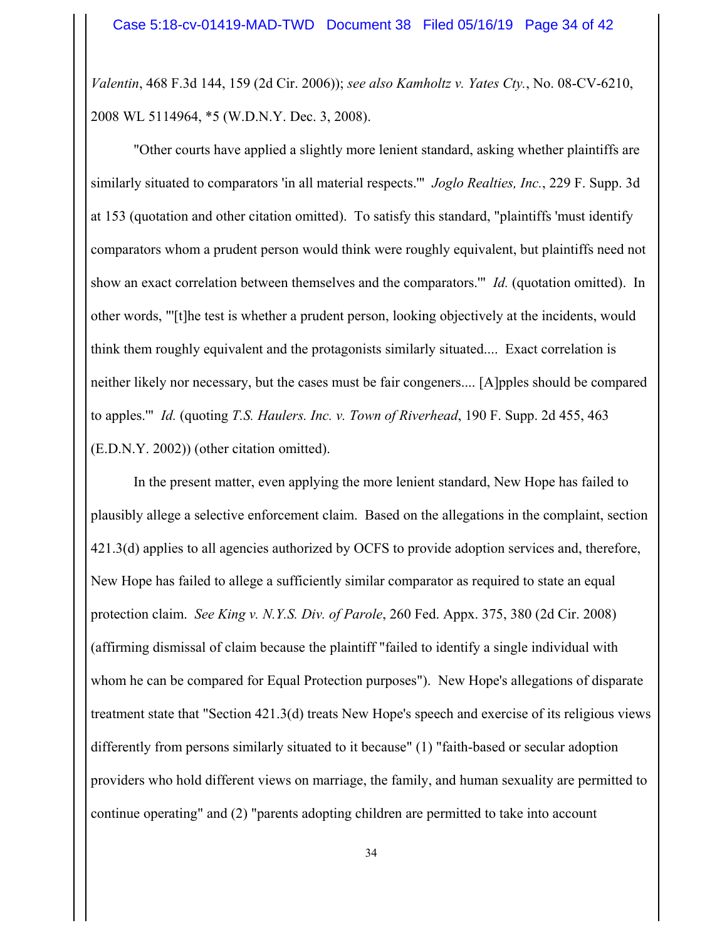*Valentin*, 468 F.3d 144, 159 (2d Cir. 2006)); *see also Kamholtz v. Yates Cty.*, No. 08-CV-6210, 2008 WL 5114964, \*5 (W.D.N.Y. Dec. 3, 2008).

"Other courts have applied a slightly more lenient standard, asking whether plaintiffs are similarly situated to comparators 'in all material respects.'" *Joglo Realties, Inc.*, 229 F. Supp. 3d at 153 (quotation and other citation omitted). To satisfy this standard, "plaintiffs 'must identify comparators whom a prudent person would think were roughly equivalent, but plaintiffs need not show an exact correlation between themselves and the comparators.'" *Id.* (quotation omitted). In other words, "'[t]he test is whether a prudent person, looking objectively at the incidents, would think them roughly equivalent and the protagonists similarly situated.... Exact correlation is neither likely nor necessary, but the cases must be fair congeners.... [A]pples should be compared to apples.'" *Id.* (quoting *T.S. Haulers. Inc. v. Town of Riverhead*, 190 F. Supp. 2d 455, 463 (E.D.N.Y. 2002)) (other citation omitted).

In the present matter, even applying the more lenient standard, New Hope has failed to plausibly allege a selective enforcement claim. Based on the allegations in the complaint, section 421.3(d) applies to all agencies authorized by OCFS to provide adoption services and, therefore, New Hope has failed to allege a sufficiently similar comparator as required to state an equal protection claim. *See King v. N.Y.S. Div. of Parole*, 260 Fed. Appx. 375, 380 (2d Cir. 2008) (affirming dismissal of claim because the plaintiff "failed to identify a single individual with whom he can be compared for Equal Protection purposes"). New Hope's allegations of disparate treatment state that "Section 421.3(d) treats New Hope's speech and exercise of its religious views differently from persons similarly situated to it because" (1) "faith-based or secular adoption providers who hold different views on marriage, the family, and human sexuality are permitted to continue operating" and (2) "parents adopting children are permitted to take into account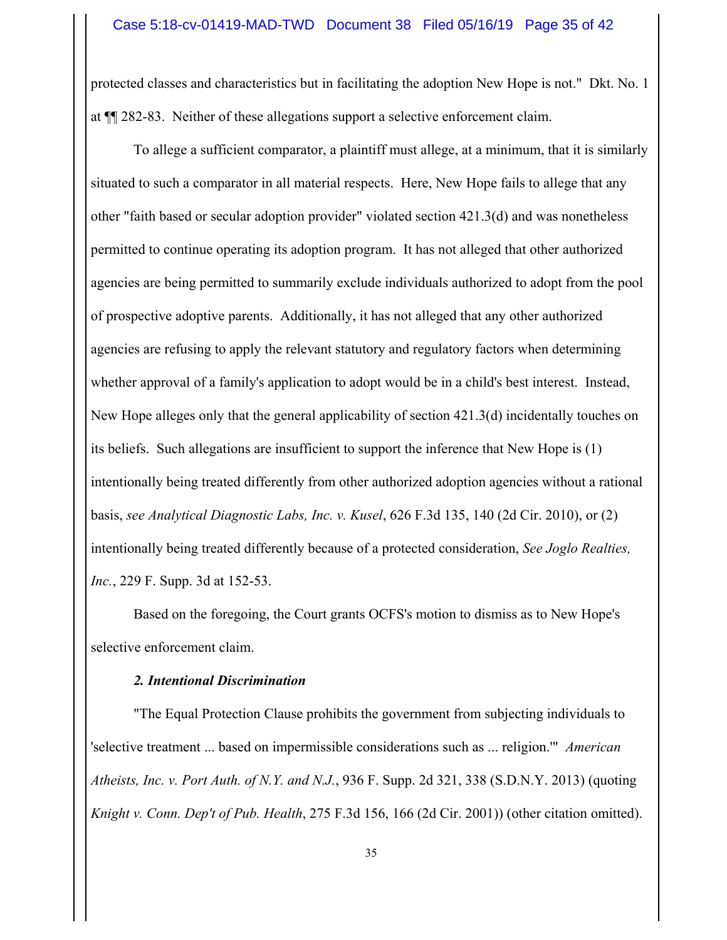protected classes and characteristics but in facilitating the adoption New Hope is not." Dkt. No. 1 at ¶¶ 282-83. Neither of these allegations support a selective enforcement claim.

To allege a sufficient comparator, a plaintiff must allege, at a minimum, that it is similarly situated to such a comparator in all material respects. Here, New Hope fails to allege that any other "faith based or secular adoption provider" violated section 421.3(d) and was nonetheless permitted to continue operating its adoption program. It has not alleged that other authorized agencies are being permitted to summarily exclude individuals authorized to adopt from the pool of prospective adoptive parents. Additionally, it has not alleged that any other authorized agencies are refusing to apply the relevant statutory and regulatory factors when determining whether approval of a family's application to adopt would be in a child's best interest. Instead, New Hope alleges only that the general applicability of section 421.3(d) incidentally touches on its beliefs. Such allegations are insufficient to support the inference that New Hope is (1) intentionally being treated differently from other authorized adoption agencies without a rational basis, *see Analytical Diagnostic Labs, Inc. v. Kusel*, 626 F.3d 135, 140 (2d Cir. 2010), or (2) intentionally being treated differently because of a protected consideration, *See Joglo Realties, Inc.*, 229 F. Supp. 3d at 152-53.

Based on the foregoing, the Court grants OCFS's motion to dismiss as to New Hope's selective enforcement claim.

## *2. Intentional Discrimination*

"The Equal Protection Clause prohibits the government from subjecting individuals to 'selective treatment ... based on impermissible considerations such as ... religion.'" *American Atheists, Inc. v. Port Auth. of N.Y. and N.J.*, 936 F. Supp. 2d 321, 338 (S.D.N.Y. 2013) (quoting *Knight v. Conn. Dep't of Pub. Health*, 275 F.3d 156, 166 (2d Cir. 2001)) (other citation omitted).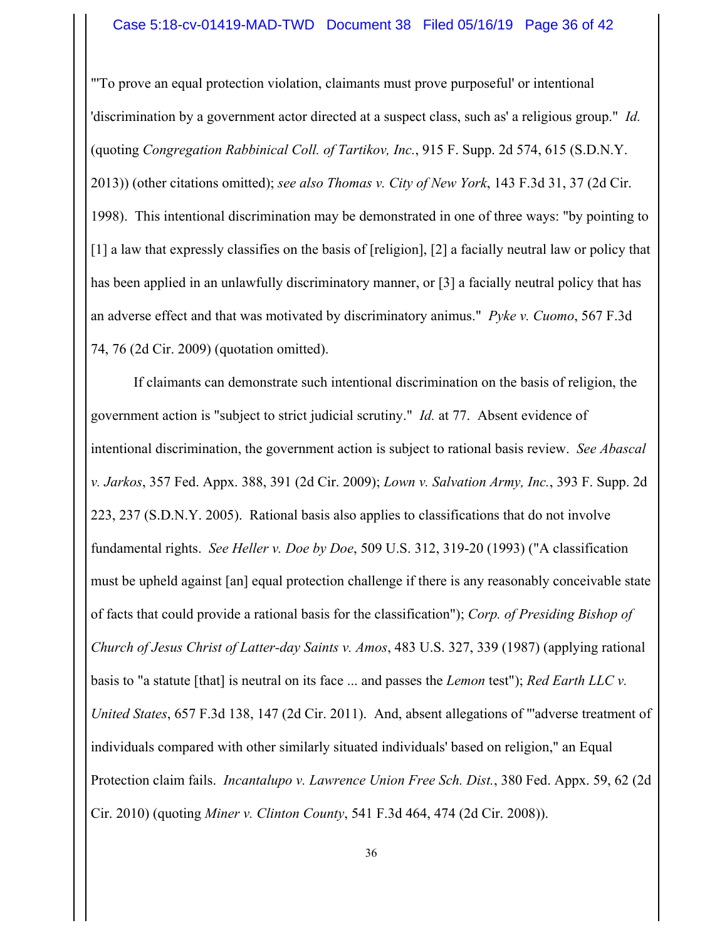#### Case 5:18-cv-01419-MAD-TWD Document 38 Filed 05/16/19 Page 36 of 42

"'To prove an equal protection violation, claimants must prove purposeful' or intentional 'discrimination by a government actor directed at a suspect class, such as' a religious group." *Id.* (quoting *Congregation Rabbinical Coll. of Tartikov, Inc.*, 915 F. Supp. 2d 574, 615 (S.D.N.Y. 2013)) (other citations omitted); *see also Thomas v. City of New York*, 143 F.3d 31, 37 (2d Cir. 1998). This intentional discrimination may be demonstrated in one of three ways: "by pointing to [1] a law that expressly classifies on the basis of [religion], [2] a facially neutral law or policy that has been applied in an unlawfully discriminatory manner, or [3] a facially neutral policy that has an adverse effect and that was motivated by discriminatory animus." *Pyke v. Cuomo*, 567 F.3d 74, 76 (2d Cir. 2009) (quotation omitted).

If claimants can demonstrate such intentional discrimination on the basis of religion, the government action is "subject to strict judicial scrutiny." *Id.* at 77. Absent evidence of intentional discrimination, the government action is subject to rational basis review. *See Abascal v. Jarkos*, 357 Fed. Appx. 388, 391 (2d Cir. 2009); *Lown v. Salvation Army, Inc.*, 393 F. Supp. 2d 223, 237 (S.D.N.Y. 2005). Rational basis also applies to classifications that do not involve fundamental rights. *See Heller v. Doe by Doe*, 509 U.S. 312, 319-20 (1993) ("A classification must be upheld against [an] equal protection challenge if there is any reasonably conceivable state of facts that could provide a rational basis for the classification"); *Corp. of Presiding Bishop of Church of Jesus Christ of Latter-day Saints v. Amos*, 483 U.S. 327, 339 (1987) (applying rational basis to "a statute [that] is neutral on its face ... and passes the *Lemon* test"); *Red Earth LLC v. United States*, 657 F.3d 138, 147 (2d Cir. 2011). And, absent allegations of "'adverse treatment of individuals compared with other similarly situated individuals' based on religion," an Equal Protection claim fails. *Incantalupo v. Lawrence Union Free Sch. Dist.*, 380 Fed. Appx. 59, 62 (2d Cir. 2010) (quoting *Miner v. Clinton County*, 541 F.3d 464, 474 (2d Cir. 2008)).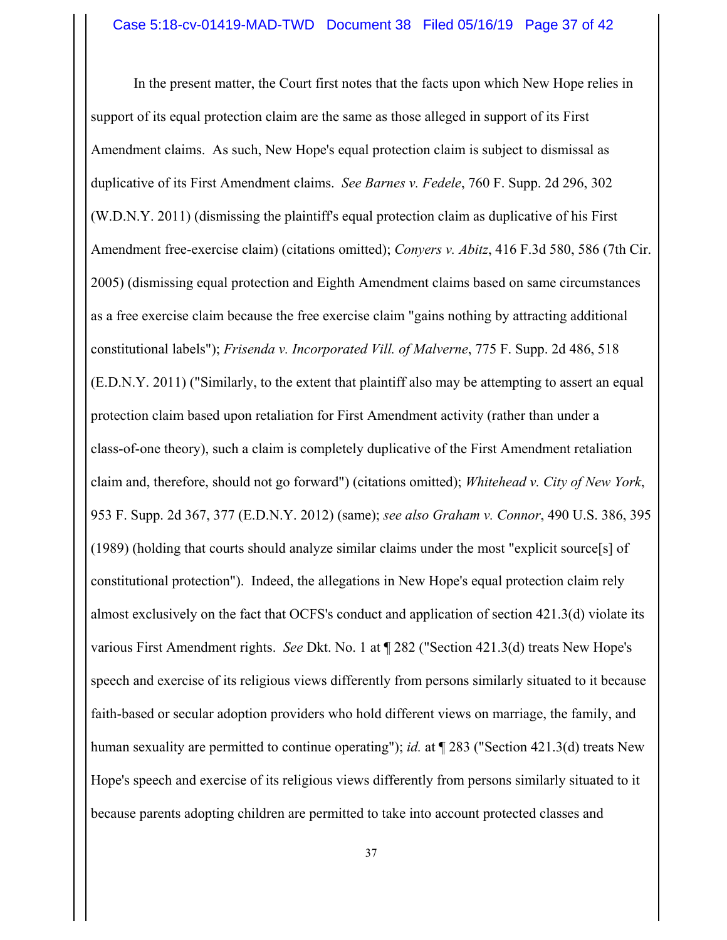In the present matter, the Court first notes that the facts upon which New Hope relies in support of its equal protection claim are the same as those alleged in support of its First Amendment claims. As such, New Hope's equal protection claim is subject to dismissal as duplicative of its First Amendment claims. *See Barnes v. Fedele*, 760 F. Supp. 2d 296, 302 (W.D.N.Y. 2011) (dismissing the plaintiff's equal protection claim as duplicative of his First Amendment free-exercise claim) (citations omitted); *Conyers v. Abitz*, 416 F.3d 580, 586 (7th Cir. 2005) (dismissing equal protection and Eighth Amendment claims based on same circumstances as a free exercise claim because the free exercise claim "gains nothing by attracting additional constitutional labels"); *Frisenda v. Incorporated Vill. of Malverne*, 775 F. Supp. 2d 486, 518 (E.D.N.Y. 2011) ("Similarly, to the extent that plaintiff also may be attempting to assert an equal protection claim based upon retaliation for First Amendment activity (rather than under a class-of-one theory), such a claim is completely duplicative of the First Amendment retaliation claim and, therefore, should not go forward") (citations omitted); *Whitehead v. City of New York*, 953 F. Supp. 2d 367, 377 (E.D.N.Y. 2012) (same); *see also Graham v. Connor*, 490 U.S. 386, 395 (1989) (holding that courts should analyze similar claims under the most "explicit source[s] of constitutional protection"). Indeed, the allegations in New Hope's equal protection claim rely almost exclusively on the fact that OCFS's conduct and application of section 421.3(d) violate its various First Amendment rights. *See* Dkt. No. 1 at ¶ 282 ("Section 421.3(d) treats New Hope's speech and exercise of its religious views differently from persons similarly situated to it because faith-based or secular adoption providers who hold different views on marriage, the family, and human sexuality are permitted to continue operating"); *id.* at  $\P$  283 ("Section 421.3(d) treats New Hope's speech and exercise of its religious views differently from persons similarly situated to it because parents adopting children are permitted to take into account protected classes and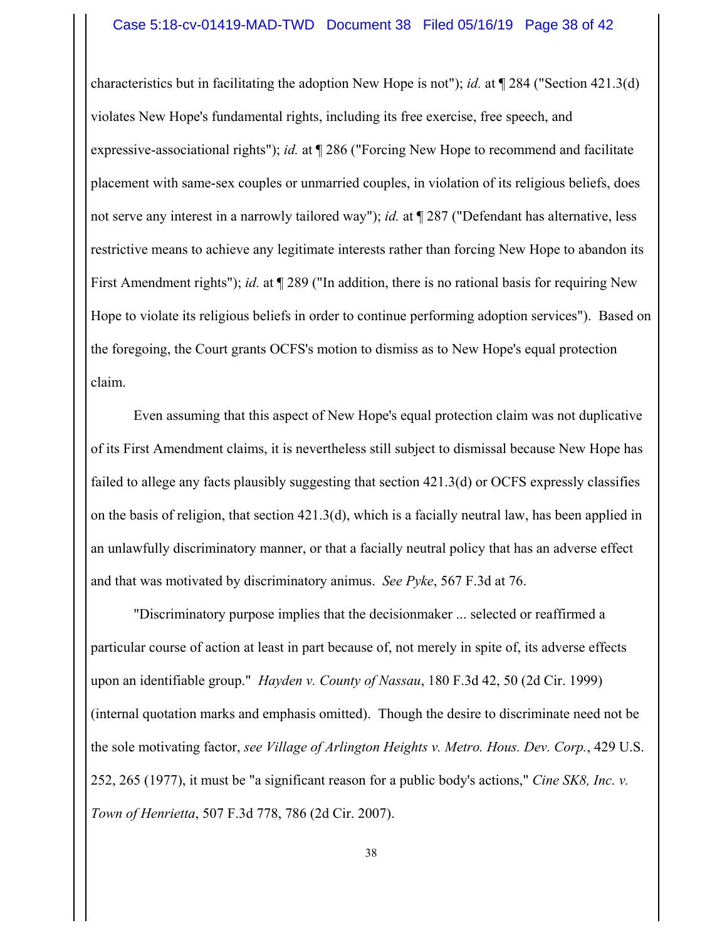#### Case 5:18-cv-01419-MAD-TWD Document 38 Filed 05/16/19 Page 38 of 42

characteristics but in facilitating the adoption New Hope is not"); *id.* at ¶ 284 ("Section 421.3(d) violates New Hope's fundamental rights, including its free exercise, free speech, and expressive-associational rights"); *id.* at ¶ 286 ("Forcing New Hope to recommend and facilitate placement with same-sex couples or unmarried couples, in violation of its religious beliefs, does not serve any interest in a narrowly tailored way"); *id.* at ¶ 287 ("Defendant has alternative, less restrictive means to achieve any legitimate interests rather than forcing New Hope to abandon its First Amendment rights"); *id.* at ¶ 289 ("In addition, there is no rational basis for requiring New Hope to violate its religious beliefs in order to continue performing adoption services"). Based on the foregoing, the Court grants OCFS's motion to dismiss as to New Hope's equal protection claim.

Even assuming that this aspect of New Hope's equal protection claim was not duplicative of its First Amendment claims, it is nevertheless still subject to dismissal because New Hope has failed to allege any facts plausibly suggesting that section 421.3(d) or OCFS expressly classifies on the basis of religion, that section 421.3(d), which is a facially neutral law, has been applied in an unlawfully discriminatory manner, or that a facially neutral policy that has an adverse effect and that was motivated by discriminatory animus. *See Pyke*, 567 F.3d at 76.

 "Discriminatory purpose implies that the decisionmaker ... selected or reaffirmed a particular course of action at least in part because of, not merely in spite of, its adverse effects upon an identifiable group." *Hayden v. County of Nassau*, 180 F.3d 42, 50 (2d Cir. 1999) (internal quotation marks and emphasis omitted). Though the desire to discriminate need not be the sole motivating factor, *see Village of Arlington Heights v. Metro. Hous. Dev. Corp.*, 429 U.S. 252, 265 (1977), it must be "a significant reason for a public body's actions," *Cine SK8, Inc. v. Town of Henrietta*, 507 F.3d 778, 786 (2d Cir. 2007).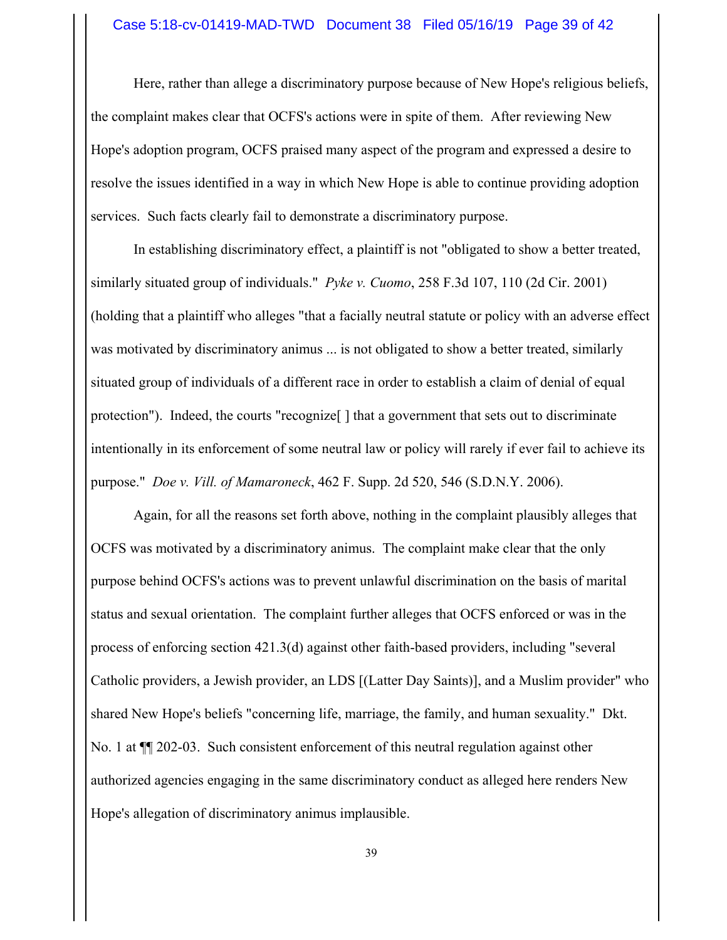#### Case 5:18-cv-01419-MAD-TWD Document 38 Filed 05/16/19 Page 39 of 42

Here, rather than allege a discriminatory purpose because of New Hope's religious beliefs, the complaint makes clear that OCFS's actions were in spite of them. After reviewing New Hope's adoption program, OCFS praised many aspect of the program and expressed a desire to resolve the issues identified in a way in which New Hope is able to continue providing adoption services. Such facts clearly fail to demonstrate a discriminatory purpose.

In establishing discriminatory effect, a plaintiff is not "obligated to show a better treated, similarly situated group of individuals." *Pyke v. Cuomo*, 258 F.3d 107, 110 (2d Cir. 2001) (holding that a plaintiff who alleges "that a facially neutral statute or policy with an adverse effect was motivated by discriminatory animus ... is not obligated to show a better treated, similarly situated group of individuals of a different race in order to establish a claim of denial of equal protection"). Indeed, the courts "recognize[ ] that a government that sets out to discriminate intentionally in its enforcement of some neutral law or policy will rarely if ever fail to achieve its purpose." *Doe v. Vill. of Mamaroneck*, 462 F. Supp. 2d 520, 546 (S.D.N.Y. 2006).

Again, for all the reasons set forth above, nothing in the complaint plausibly alleges that OCFS was motivated by a discriminatory animus. The complaint make clear that the only purpose behind OCFS's actions was to prevent unlawful discrimination on the basis of marital status and sexual orientation. The complaint further alleges that OCFS enforced or was in the process of enforcing section 421.3(d) against other faith-based providers, including "several Catholic providers, a Jewish provider, an LDS [(Latter Day Saints)], and a Muslim provider" who shared New Hope's beliefs "concerning life, marriage, the family, and human sexuality." Dkt. No. 1 at ¶¶ 202-03. Such consistent enforcement of this neutral regulation against other authorized agencies engaging in the same discriminatory conduct as alleged here renders New Hope's allegation of discriminatory animus implausible.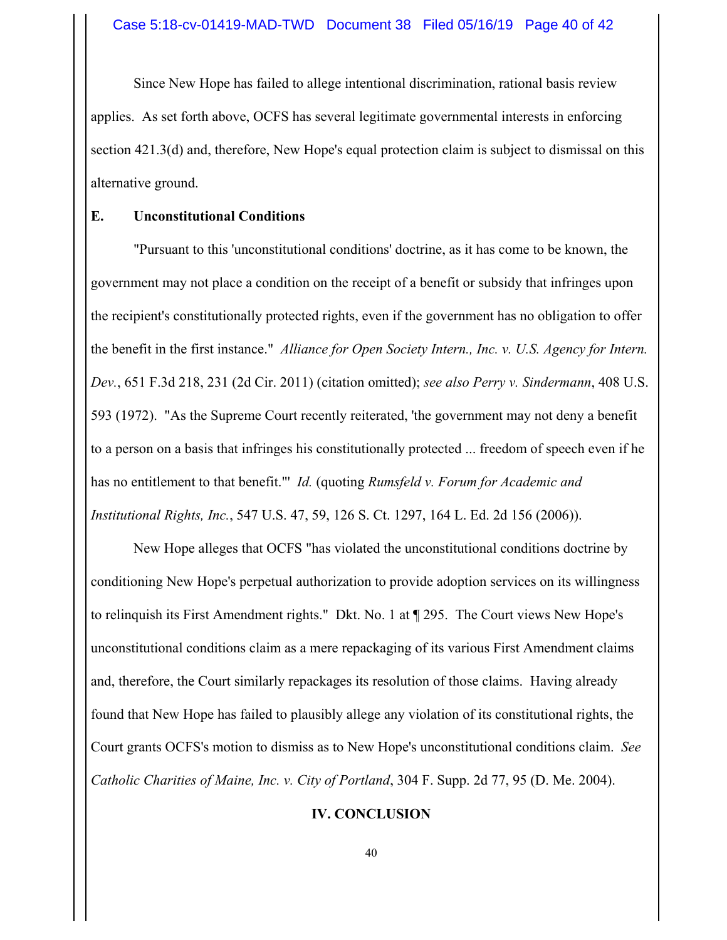Since New Hope has failed to allege intentional discrimination, rational basis review applies. As set forth above, OCFS has several legitimate governmental interests in enforcing section 421.3(d) and, therefore, New Hope's equal protection claim is subject to dismissal on this alternative ground.

### **E. Unconstitutional Conditions**

"Pursuant to this 'unconstitutional conditions' doctrine, as it has come to be known, the government may not place a condition on the receipt of a benefit or subsidy that infringes upon the recipient's constitutionally protected rights, even if the government has no obligation to offer the benefit in the first instance." *Alliance for Open Society Intern., Inc. v. U.S. Agency for Intern. Dev.*, 651 F.3d 218, 231 (2d Cir. 2011) (citation omitted); *see also Perry v. Sindermann*, 408 U.S. 593 (1972). "As the Supreme Court recently reiterated, 'the government may not deny a benefit to a person on a basis that infringes his constitutionally protected ... freedom of speech even if he has no entitlement to that benefit."' *Id.* (quoting *Rumsfeld v. Forum for Academic and Institutional Rights, Inc.*, 547 U.S. 47, 59, 126 S. Ct. 1297, 164 L. Ed. 2d 156 (2006)).

New Hope alleges that OCFS "has violated the unconstitutional conditions doctrine by conditioning New Hope's perpetual authorization to provide adoption services on its willingness to relinquish its First Amendment rights." Dkt. No. 1 at ¶ 295. The Court views New Hope's unconstitutional conditions claim as a mere repackaging of its various First Amendment claims and, therefore, the Court similarly repackages its resolution of those claims. Having already found that New Hope has failed to plausibly allege any violation of its constitutional rights, the Court grants OCFS's motion to dismiss as to New Hope's unconstitutional conditions claim. *See Catholic Charities of Maine, Inc. v. City of Portland*, 304 F. Supp. 2d 77, 95 (D. Me. 2004).

## **IV. CONCLUSION**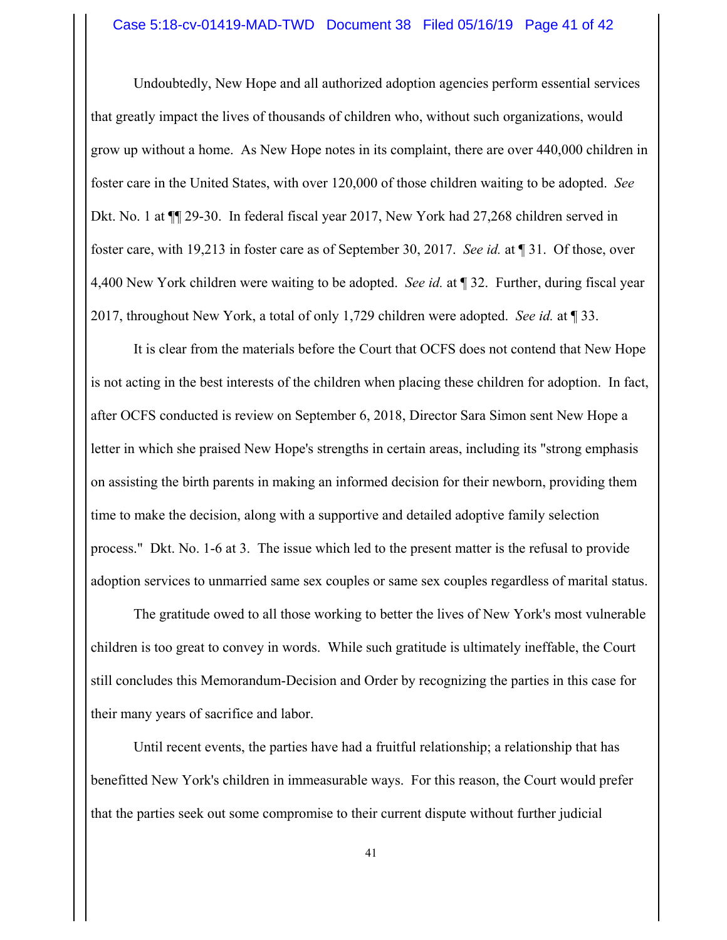#### Case 5:18-cv-01419-MAD-TWD Document 38 Filed 05/16/19 Page 41 of 42

Undoubtedly, New Hope and all authorized adoption agencies perform essential services that greatly impact the lives of thousands of children who, without such organizations, would grow up without a home. As New Hope notes in its complaint, there are over 440,000 children in foster care in the United States, with over 120,000 of those children waiting to be adopted. *See* Dkt. No. 1 at ¶¶ 29-30. In federal fiscal year 2017, New York had 27,268 children served in foster care, with 19,213 in foster care as of September 30, 2017. *See id.* at ¶ 31. Of those, over 4,400 New York children were waiting to be adopted. *See id.* at ¶ 32. Further, during fiscal year 2017, throughout New York, a total of only 1,729 children were adopted. *See id.* at ¶ 33.

It is clear from the materials before the Court that OCFS does not contend that New Hope is not acting in the best interests of the children when placing these children for adoption. In fact, after OCFS conducted is review on September 6, 2018, Director Sara Simon sent New Hope a letter in which she praised New Hope's strengths in certain areas, including its "strong emphasis on assisting the birth parents in making an informed decision for their newborn, providing them time to make the decision, along with a supportive and detailed adoptive family selection process." Dkt. No. 1-6 at 3. The issue which led to the present matter is the refusal to provide adoption services to unmarried same sex couples or same sex couples regardless of marital status.

The gratitude owed to all those working to better the lives of New York's most vulnerable children is too great to convey in words. While such gratitude is ultimately ineffable, the Court still concludes this Memorandum-Decision and Order by recognizing the parties in this case for their many years of sacrifice and labor.

Until recent events, the parties have had a fruitful relationship; a relationship that has benefitted New York's children in immeasurable ways. For this reason, the Court would prefer that the parties seek out some compromise to their current dispute without further judicial